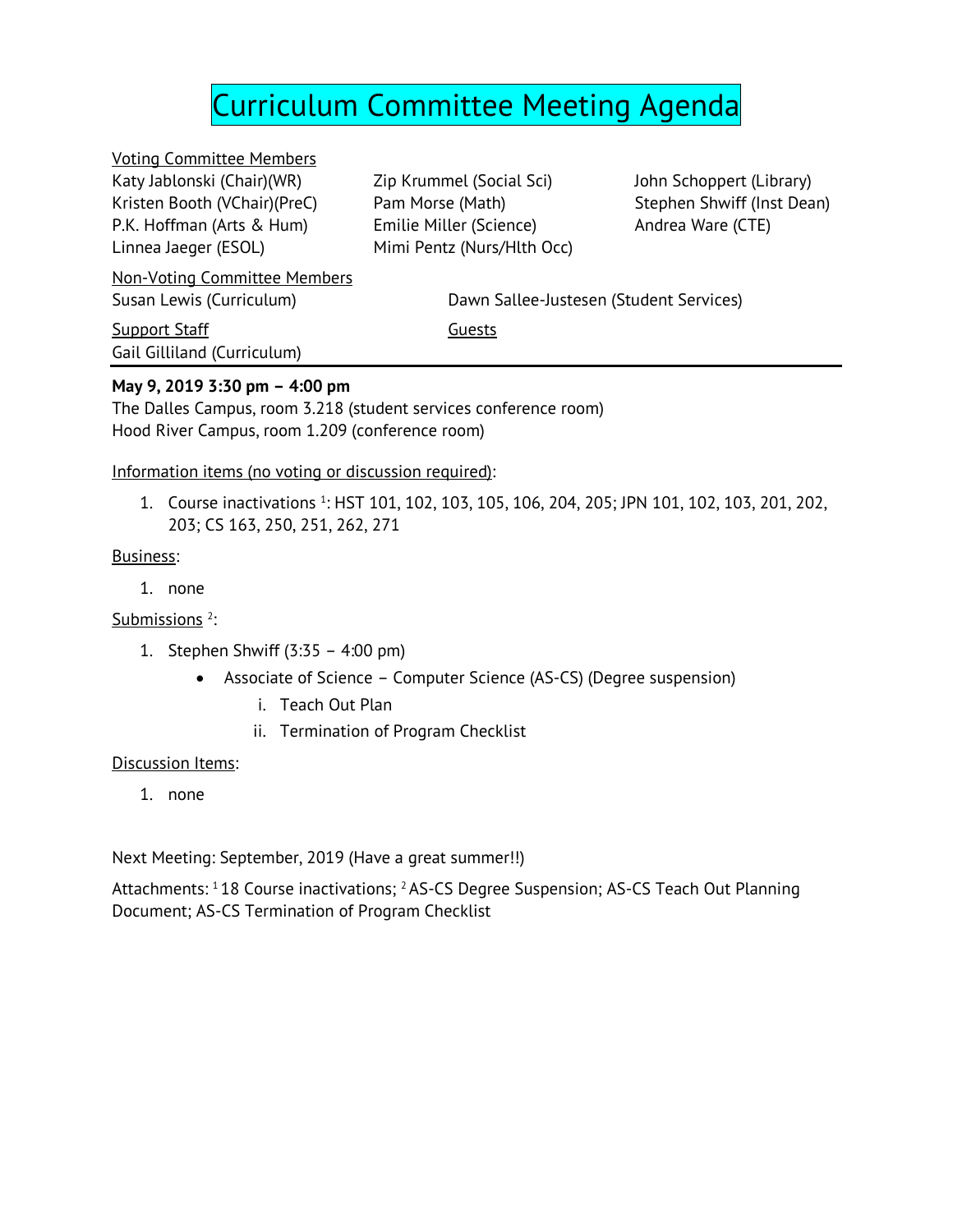# Curriculum Committee Meeting Agenda

Voting Committee Members Katy Jablonski (Chair)(WR) Kristen Booth (VChair)(PreC) P.K. Hoffman (Arts & Hum) Linnea Jaeger (ESOL)

Non-Voting Committee Members

**Support Staff** Guests **Guests** Gail Gilliland (Curriculum)

Zip Krummel (Social Sci) Pam Morse (Math) Emilie Miller (Science) Mimi Pentz (Nurs/Hlth Occ) John Schoppert (Library) Stephen Shwiff (Inst Dean) Andrea Ware (CTE)

Susan Lewis (Curriculum) Dawn Sallee-Justesen (Student Services)

#### **May 9, 2019 3:30 pm – 4:00 pm**

The Dalles Campus, room 3.218 (student services conference room) Hood River Campus, room 1.209 (conference room)

Information items (no voting or discussion required):

1. Course inactivations <sup>1</sup>: HST 101, 102, 103, 105, 106, 204, 205; JPN 101, 102, 103, 201, 202, 203; CS 163, 250, 251, 262, 271

#### Business:

1. none

Submissions<sup>2</sup>:

- 1. Stephen Shwiff (3:35 4:00 pm)
	- Associate of Science Computer Science (AS-CS) (Degree suspension)
		- i. Teach Out Plan
		- ii. Termination of Program Checklist

#### Discussion Items:

1. none

Next Meeting: September, 2019 (Have a great summer!!)

Attachments: <sup>1</sup>18 Course inactivations; <sup>2</sup>AS-CS Degree Suspension; AS-CS Teach Out Planning Document; AS-CS Termination of Program Checklist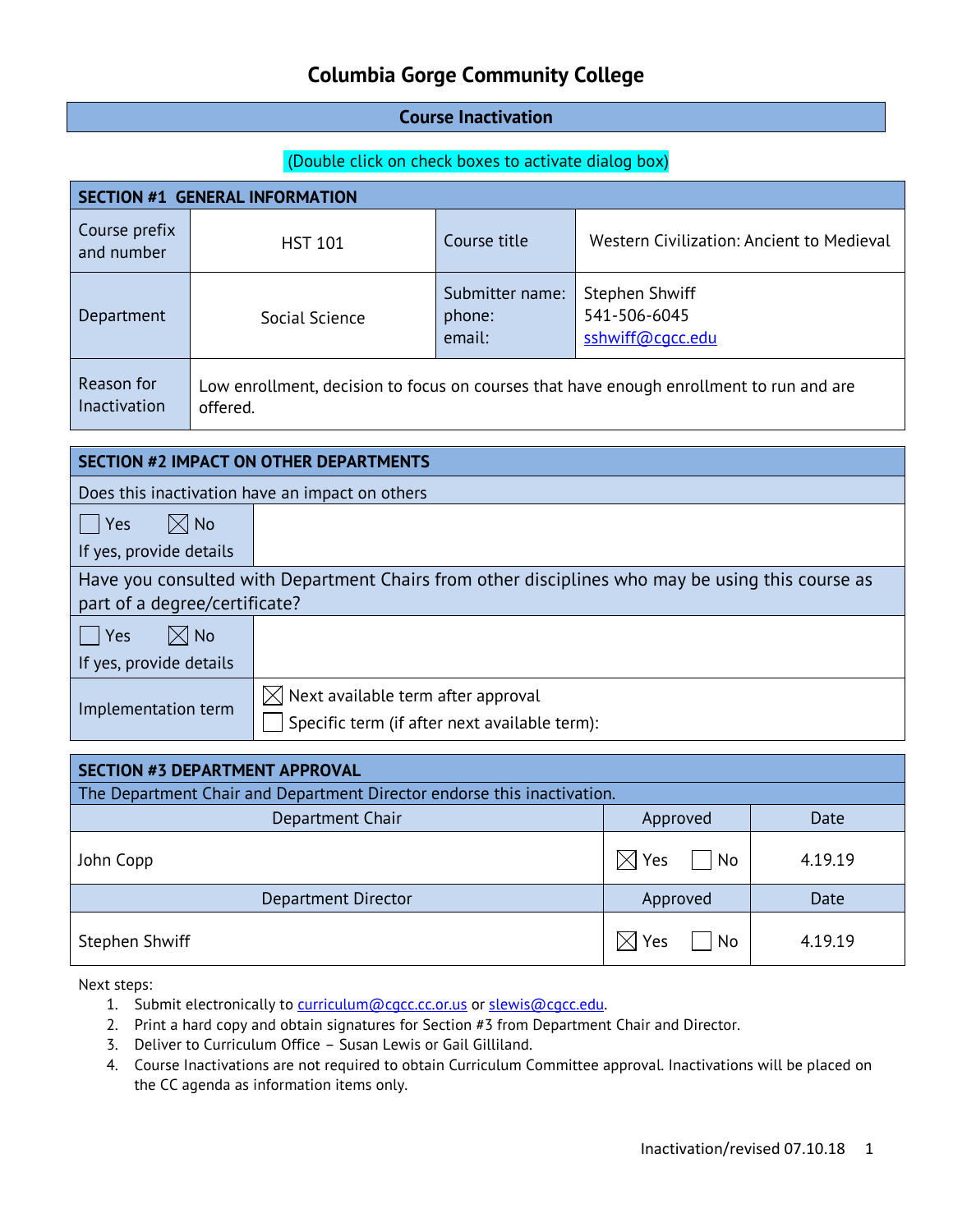#### **Course Inactivation**

#### (Double click on check boxes to activate dialog box)

| <b>SECTION #1 GENERAL INFORMATION</b>                                                                                             |                |                                     |                                                           |
|-----------------------------------------------------------------------------------------------------------------------------------|----------------|-------------------------------------|-----------------------------------------------------------|
| Course prefix<br>and number                                                                                                       | <b>HST 101</b> | Course title                        | Western Civilization: Ancient to Medieval                 |
| Department                                                                                                                        | Social Science | Submitter name:<br>phone:<br>email: | <b>Stephen Shwiff</b><br>541-506-6045<br>sshwiff@cqcc.edu |
| Reason for<br>Low enrollment, decision to focus on courses that have enough enrollment to run and are<br>Inactivation<br>offered. |                |                                     |                                                           |
|                                                                                                                                   |                |                                     |                                                           |
| <b>SECTION #2 IMPACT ON OTHER DEPARTMENTS</b>                                                                                     |                |                                     |                                                           |

Does this inactivation have an impact on others

 $\Box$  Yes  $\Box$  No If yes, provide details

Have you consulted with Department Chairs from other disciplines who may be using this course as part of a degree/certificate?

| $\boxtimes$ l No<br>l Yes |                                                                                                 |
|---------------------------|-------------------------------------------------------------------------------------------------|
| If yes, provide details   |                                                                                                 |
| Implementation term       | $\boxtimes$ Next available term after approval<br>Specific term (if after next available term): |

| SECTION #3 DEPARTMENT APPROVAL |                                                                         |         |  |  |
|--------------------------------|-------------------------------------------------------------------------|---------|--|--|
|                                | The Department Chair and Department Director endorse this inactivation. |         |  |  |
| Department Chair               | Approved                                                                | Date    |  |  |
| John Copp                      | $\boxtimes$ Yes<br>  No                                                 | 4.19.19 |  |  |
| Department Director            | Approved                                                                | Date    |  |  |
| Stephen Shwiff                 | $\boxtimes$ Yes<br>  No                                                 | 4.19.19 |  |  |

- 1. Submit electronically to [curriculum@cgcc.cc.or.us](mailto:curriculum@cgcc.cc.or.us) or slewis@cgcc.edu.
- 2. Print a hard copy and obtain signatures for Section #3 from Department Chair and Director.
- 3. Deliver to Curriculum Office Susan Lewis or Gail Gilliland.
- 4. Course Inactivations are not required to obtain Curriculum Committee approval. Inactivations will be placed on the CC agenda as information items only.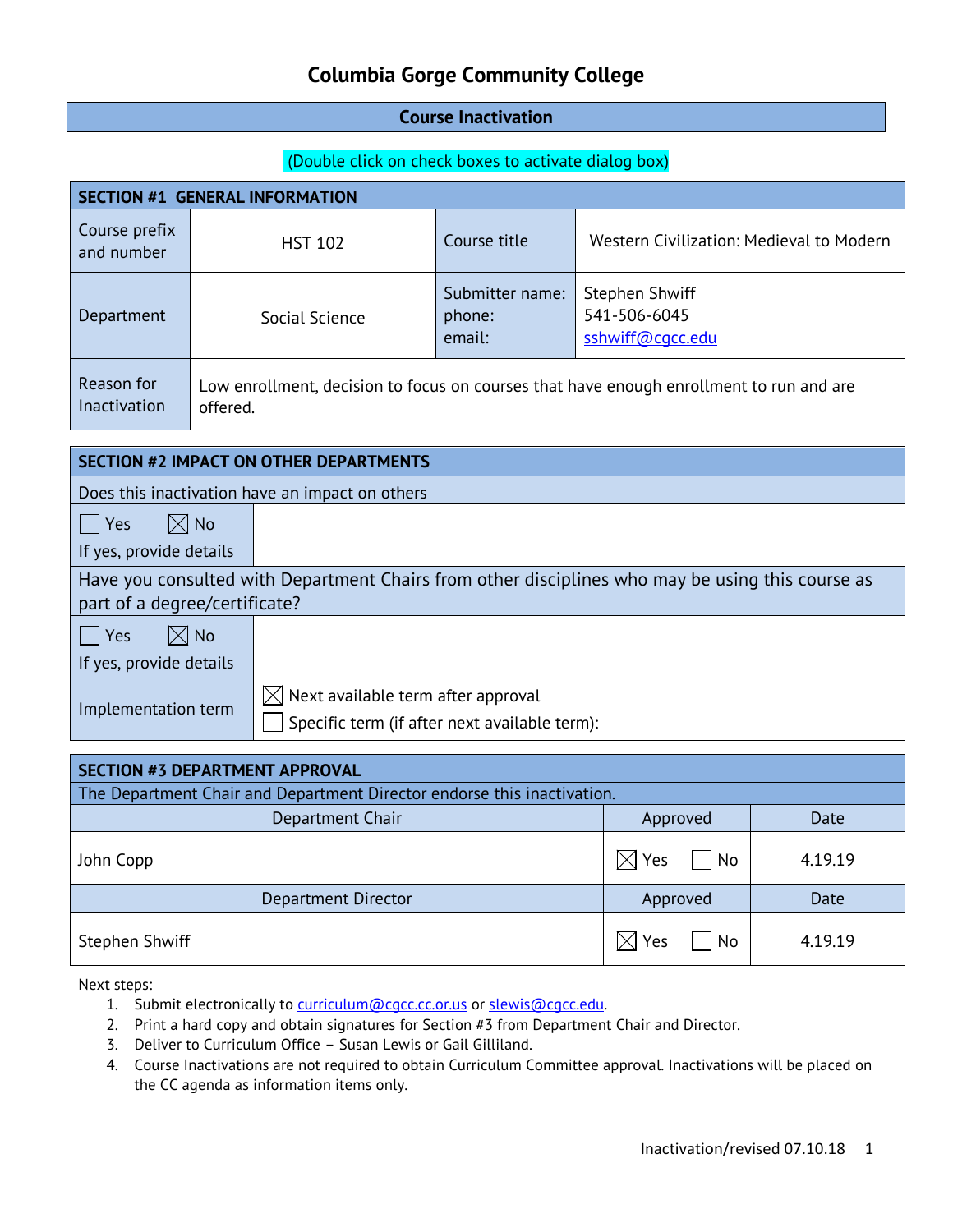#### **Course Inactivation**

#### (Double click on check boxes to activate dialog box)

| <b>SECTION #1 GENERAL INFORMATION</b>                                                                                                    |                |                                     |                                                           |
|------------------------------------------------------------------------------------------------------------------------------------------|----------------|-------------------------------------|-----------------------------------------------------------|
| Course prefix<br>and number                                                                                                              | <b>HST 102</b> | Course title                        | Western Civilization: Medieval to Modern                  |
| Department                                                                                                                               | Social Science | Submitter name:<br>phone:<br>email: | <b>Stephen Shwiff</b><br>541-506-6045<br>sshwiff@cqcc.edu |
| Reason for<br>Low enrollment, decision to focus on courses that have enough enrollment to run and are<br><b>Inactivation</b><br>offered. |                |                                     |                                                           |
|                                                                                                                                          |                |                                     |                                                           |
| <b>SECTION #2 IMPACT ON OTHER DEPARTMENTS</b>                                                                                            |                |                                     |                                                           |
| Does this inactivation have an impact on others                                                                                          |                |                                     |                                                           |
|                                                                                                                                          |                |                                     |                                                           |

 $\bigcap$  Yes  $\bigotimes$  No If yes, provide details

Have you consulted with Department Chairs from other disciplines who may be using this course as part of a degree/certificate?

| $\times$ l No<br><b>Yes</b> |                                                                                                 |
|-----------------------------|-------------------------------------------------------------------------------------------------|
| If yes, provide details     |                                                                                                 |
| Implementation term         | $\boxtimes$ Next available term after approval<br>Specific term (if after next available term): |

| SECTION #3 DEPARTMENT APPROVAL |                                                                         |         |  |  |
|--------------------------------|-------------------------------------------------------------------------|---------|--|--|
|                                | The Department Chair and Department Director endorse this inactivation. |         |  |  |
| Department Chair               | Approved                                                                | Date    |  |  |
| John Copp                      | $\boxtimes$ Yes<br>  No                                                 | 4.19.19 |  |  |
| Department Director            | Approved                                                                | Date    |  |  |
| Stephen Shwiff                 | $\boxtimes$ Yes<br>  No                                                 | 4.19.19 |  |  |

- 1. Submit electronically to [curriculum@cgcc.cc.or.us](mailto:curriculum@cgcc.cc.or.us) or slewis@cgcc.edu.
- 2. Print a hard copy and obtain signatures for Section #3 from Department Chair and Director.
- 3. Deliver to Curriculum Office Susan Lewis or Gail Gilliland.
- 4. Course Inactivations are not required to obtain Curriculum Committee approval. Inactivations will be placed on the CC agenda as information items only.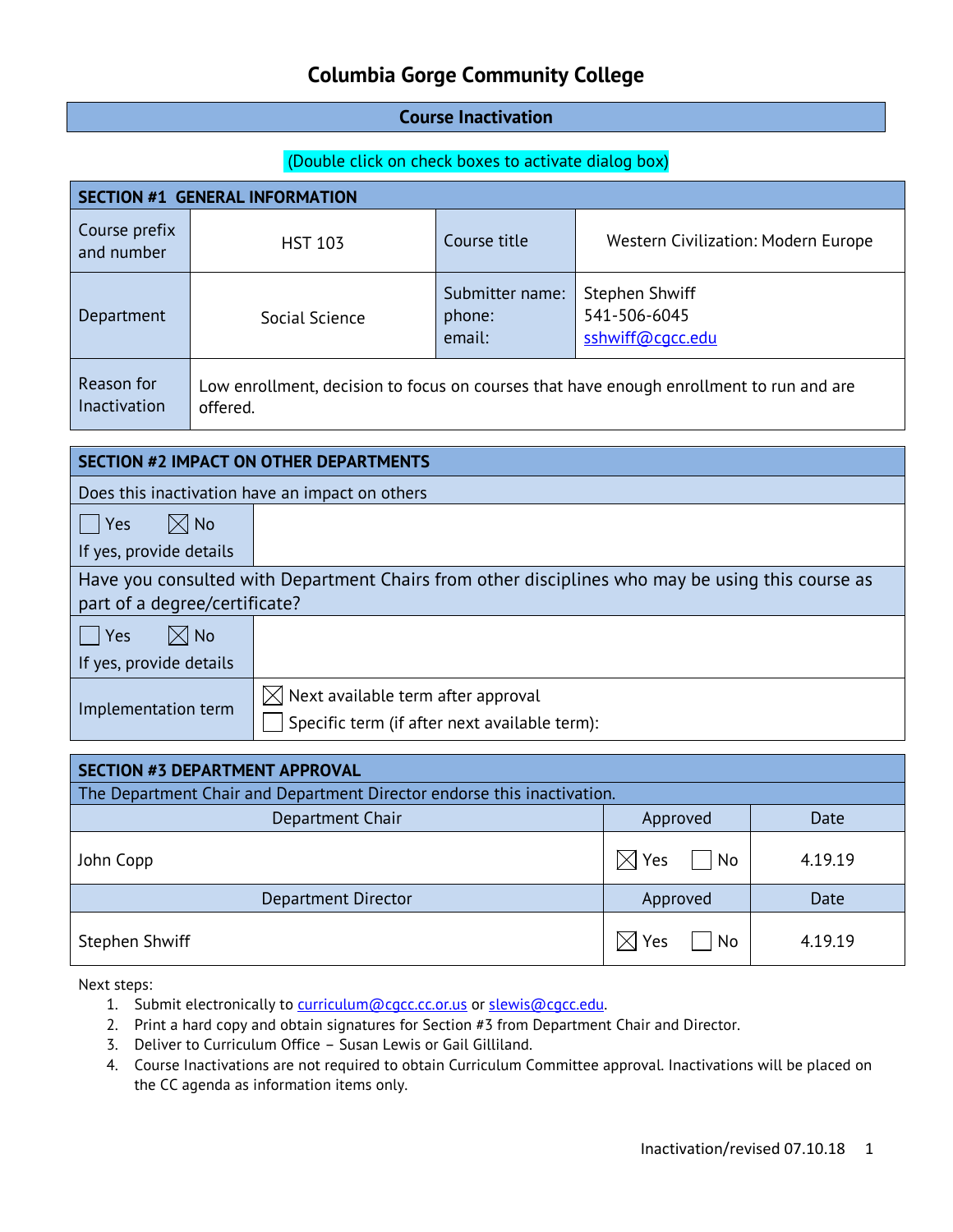#### **Course Inactivation**

#### (Double click on check boxes to activate dialog box)

| <b>SECTION #1 GENERAL INFORMATION</b>           |                                                                                                     |                                     |                                                           |
|-------------------------------------------------|-----------------------------------------------------------------------------------------------------|-------------------------------------|-----------------------------------------------------------|
| Course prefix<br>and number                     | <b>HST 103</b>                                                                                      | Course title                        | Western Civilization: Modern Europe                       |
| Department                                      | Social Science                                                                                      | Submitter name:<br>phone:<br>email: | <b>Stephen Shwiff</b><br>541-506-6045<br>sshwiff@cgcc.edu |
| Reason for<br>Inactivation                      | Low enrollment, decision to focus on courses that have enough enrollment to run and are<br>offered. |                                     |                                                           |
|                                                 |                                                                                                     |                                     |                                                           |
| <b>SECTION #2 IMPACT ON OTHER DEPARTMENTS</b>   |                                                                                                     |                                     |                                                           |
| Does this inactivation have an impact on others |                                                                                                     |                                     |                                                           |
| $\boxtimes$ No<br>Yes                           |                                                                                                     |                                     |                                                           |
| If yes, provide details                         |                                                                                                     |                                     |                                                           |

### Have you consulted with Department Chairs from other disciplines who may be using this course as part of a degree/certificate?

| $\boxtimes$ No<br>Yes<br>If yes, provide details |                                                                                                 |
|--------------------------------------------------|-------------------------------------------------------------------------------------------------|
| Implementation term                              | $\boxtimes$ Next available term after approval<br>Specific term (if after next available term): |

| SECTION #3 DEPARTMENT APPROVAL                                          |                           |         |  |
|-------------------------------------------------------------------------|---------------------------|---------|--|
| The Department Chair and Department Director endorse this inactivation. |                           |         |  |
| Department Chair                                                        | Approved                  | Date    |  |
| John Copp                                                               | $\boxtimes$ Yes<br>$ $ No | 4.19.19 |  |
| Department Director                                                     | Approved                  | Date    |  |
| Stephen Shwiff                                                          | $\boxtimes$ Yes<br>  No   | 4.19.19 |  |

- 1. Submit electronically to [curriculum@cgcc.cc.or.us](mailto:curriculum@cgcc.cc.or.us) or slewis@cgcc.edu.
- 2. Print a hard copy and obtain signatures for Section #3 from Department Chair and Director.
- 3. Deliver to Curriculum Office Susan Lewis or Gail Gilliland.
- 4. Course Inactivations are not required to obtain Curriculum Committee approval. Inactivations will be placed on the CC agenda as information items only.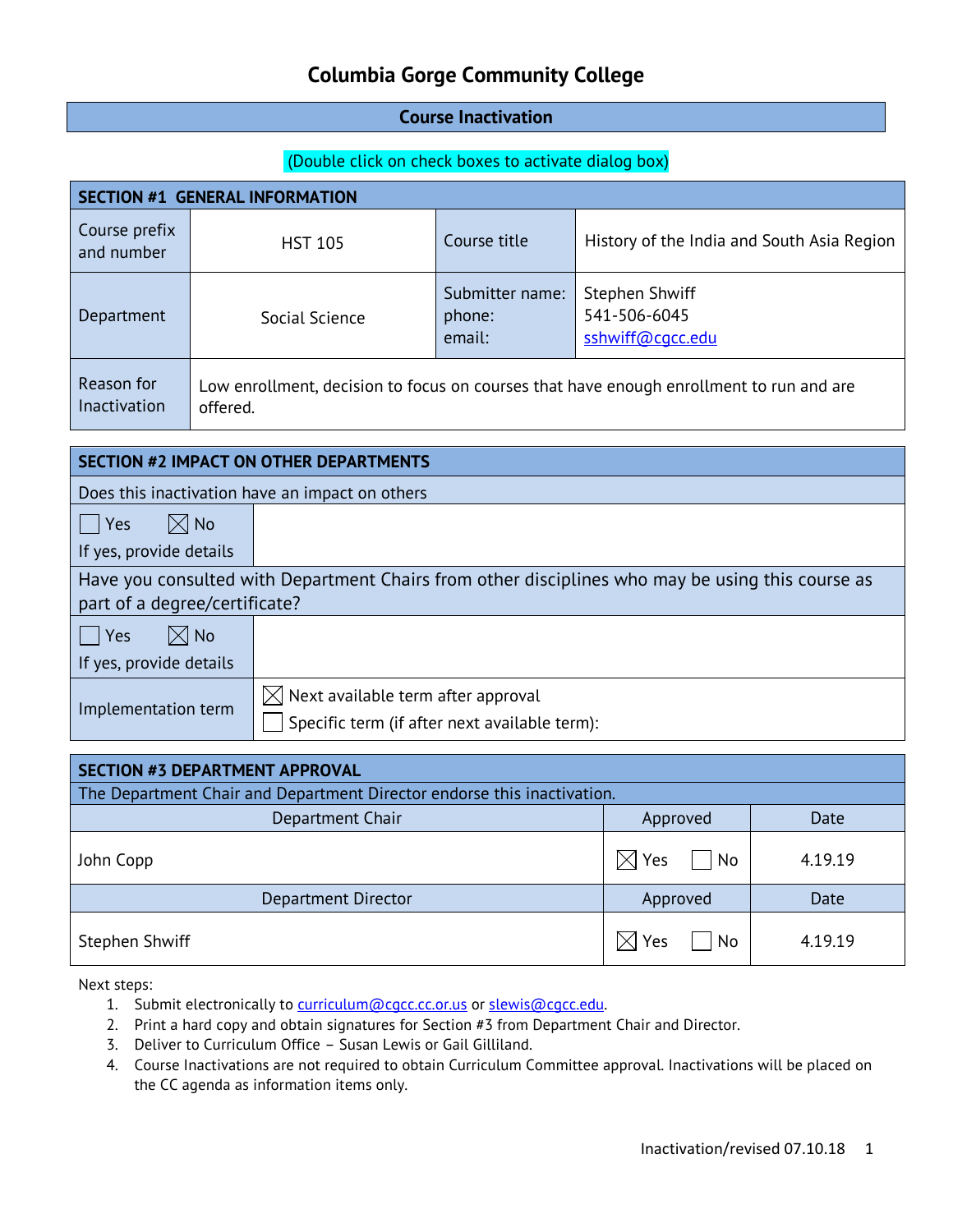#### **Course Inactivation**

#### (Double click on check boxes to activate dialog box)

| <b>SECTION #1 GENERAL INFORMATION</b>                                                                                             |                |                                     |                                                           |
|-----------------------------------------------------------------------------------------------------------------------------------|----------------|-------------------------------------|-----------------------------------------------------------|
| Course prefix<br>and number                                                                                                       | <b>HST 105</b> | Course title                        | History of the India and South Asia Region                |
| Department                                                                                                                        | Social Science | Submitter name:<br>phone:<br>email: | <b>Stephen Shwiff</b><br>541-506-6045<br>sshwiff@cgcc.edu |
| Reason for<br>Low enrollment, decision to focus on courses that have enough enrollment to run and are<br>Inactivation<br>offered. |                |                                     |                                                           |
|                                                                                                                                   |                |                                     |                                                           |
| <b>SECTION #2 IMPACT ON OTHER DEPARTMENTS</b>                                                                                     |                |                                     |                                                           |
|                                                                                                                                   |                |                                     |                                                           |

Does this inactivation have an impact on others

 $\Box$  Yes  $\Box$  No If yes, provide details

| Have you consulted with Department Chairs from other disciplines who may be using this course as |  |
|--------------------------------------------------------------------------------------------------|--|
| part of a degree/certificate?                                                                    |  |

| $\boxtimes$ No<br>$ $ $ $ Yes |                                                                                               |
|-------------------------------|-----------------------------------------------------------------------------------------------|
| If yes, provide details       |                                                                                               |
| Implementation term           | $\bowtie$ Next available term after approval<br>Specific term (if after next available term): |

| SECTION #3 DEPARTMENT APPROVAL                                          |                         |         |  |  |
|-------------------------------------------------------------------------|-------------------------|---------|--|--|
| The Department Chair and Department Director endorse this inactivation. |                         |         |  |  |
| Department Chair                                                        | Approved                | Date    |  |  |
| John Copp                                                               | $\boxtimes$ Yes<br>  No | 4.19.19 |  |  |
| Department Director                                                     | Approved                | Date    |  |  |
| Stephen Shwiff                                                          | $\boxtimes$ Yes<br>  No | 4.19.19 |  |  |

- 1. Submit electronically to [curriculum@cgcc.cc.or.us](mailto:curriculum@cgcc.cc.or.us) or slewis@cgcc.edu.
- 2. Print a hard copy and obtain signatures for Section #3 from Department Chair and Director.
- 3. Deliver to Curriculum Office Susan Lewis or Gail Gilliland.
- 4. Course Inactivations are not required to obtain Curriculum Committee approval. Inactivations will be placed on the CC agenda as information items only.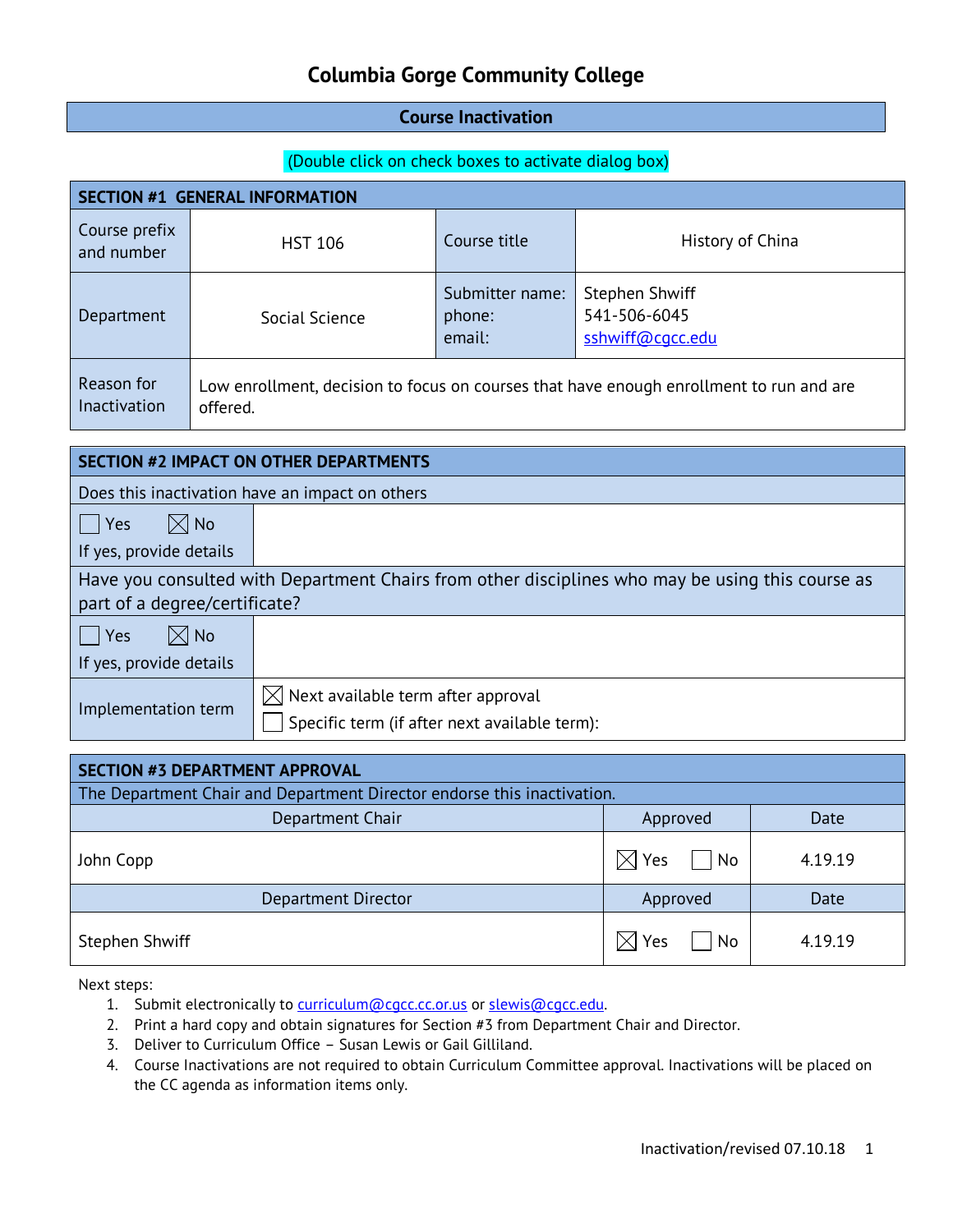#### **Course Inactivation**

#### (Double click on check boxes to activate dialog box)

| <b>SECTION #1 GENERAL INFORMATION</b>                                                                                |                                                                                                     |                                     |                                                           |  |
|----------------------------------------------------------------------------------------------------------------------|-----------------------------------------------------------------------------------------------------|-------------------------------------|-----------------------------------------------------------|--|
| Course prefix<br>and number                                                                                          | <b>HST 106</b>                                                                                      | Course title                        | History of China                                          |  |
| Department                                                                                                           | Social Science                                                                                      | Submitter name:<br>phone:<br>email: | <b>Stephen Shwiff</b><br>541-506-6045<br>sshwiff@cgcc.edu |  |
| Reason for<br>Inactivation                                                                                           | Low enrollment, decision to focus on courses that have enough enrollment to run and are<br>offered. |                                     |                                                           |  |
| <b>SECTION #2 IMPACT ON OTHER DEPARTMENTS</b>                                                                        |                                                                                                     |                                     |                                                           |  |
| Does this inactivation have an impact on others                                                                      |                                                                                                     |                                     |                                                           |  |
| $ $   Yes                                                                                                            | $\boxtimes$ No                                                                                      |                                     |                                                           |  |
| If yes, provide details                                                                                              |                                                                                                     |                                     |                                                           |  |
| والملحو والمزروم والرومس ومارير ومومرا والمتمالس ومراقب وسميته وسامس والمستحدد والمسارية والرومس والمستحدث وربوا الر |                                                                                                     |                                     |                                                           |  |

#### Have you consulted with Department Chairs from other disciplines who may be using this course as part of a degree/certificate?

| $\boxtimes$ l No<br>  Yes |                                                                                                 |
|---------------------------|-------------------------------------------------------------------------------------------------|
| If yes, provide details   |                                                                                                 |
| Implementation term       | $\boxtimes$ Next available term after approval<br>Specific term (if after next available term): |

| SECTION #3 DEPARTMENT APPROVAL                                          |                           |         |  |
|-------------------------------------------------------------------------|---------------------------|---------|--|
| The Department Chair and Department Director endorse this inactivation. |                           |         |  |
| Department Chair<br>Approved<br>Date                                    |                           |         |  |
| John Copp                                                               | $\boxtimes$ Yes<br>$ $ No | 4.19.19 |  |
| <b>Department Director</b>                                              | Approved                  | Date    |  |
| <b>Stephen Shwiff</b>                                                   | $\boxtimes$ Yes<br>  No   | 4.19.19 |  |

- 1. Submit electronically to [curriculum@cgcc.cc.or.us](mailto:curriculum@cgcc.cc.or.us) or slewis@cgcc.edu.
- 2. Print a hard copy and obtain signatures for Section #3 from Department Chair and Director.
- 3. Deliver to Curriculum Office Susan Lewis or Gail Gilliland.
- 4. Course Inactivations are not required to obtain Curriculum Committee approval. Inactivations will be placed on the CC agenda as information items only.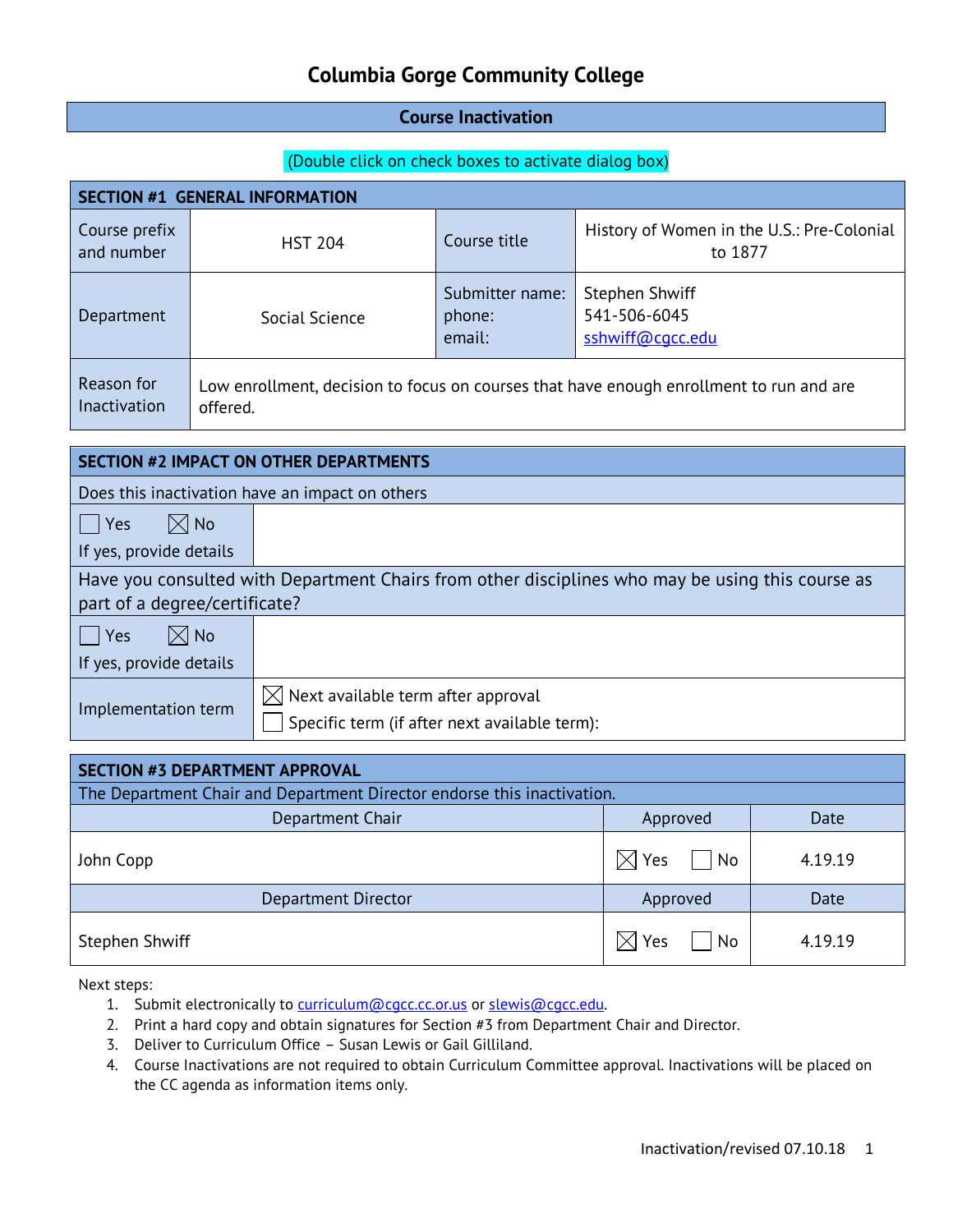#### **Course Inactivation**

#### (Double click on check boxes to activate dialog box)

| <b>SECTION #1 GENERAL INFORMATION</b>                                                                                             |                                                                                                     |                                                 |                                     |                                                           |
|-----------------------------------------------------------------------------------------------------------------------------------|-----------------------------------------------------------------------------------------------------|-------------------------------------------------|-------------------------------------|-----------------------------------------------------------|
| Course prefix<br>and number                                                                                                       |                                                                                                     | <b>HST 204</b>                                  | Course title                        | History of Women in the U.S.: Pre-Colonial<br>to 1877     |
| Department                                                                                                                        |                                                                                                     | Social Science                                  | Submitter name:<br>phone:<br>email: | <b>Stephen Shwiff</b><br>541-506-6045<br>sshwiff@cgcc.edu |
| Reason for<br>Inactivation                                                                                                        | Low enrollment, decision to focus on courses that have enough enrollment to run and are<br>offered. |                                                 |                                     |                                                           |
|                                                                                                                                   |                                                                                                     | <b>SECTION #2 IMPACT ON OTHER DEPARTMENTS</b>   |                                     |                                                           |
|                                                                                                                                   |                                                                                                     |                                                 |                                     |                                                           |
|                                                                                                                                   |                                                                                                     | Does this inactivation have an impact on others |                                     |                                                           |
|                                                                                                                                   | $\boxtimes$ No<br>Yes                                                                               |                                                 |                                     |                                                           |
| If yes, provide details                                                                                                           |                                                                                                     |                                                 |                                     |                                                           |
| Have you consulted with Department Chairs from other disciplines who may be using this course as<br>part of a degree/certificate? |                                                                                                     |                                                 |                                     |                                                           |
| Yes                                                                                                                               | $\boxtimes$ No                                                                                      |                                                 |                                     |                                                           |
| If yes, provide details                                                                                                           |                                                                                                     |                                                 |                                     |                                                           |
| Implementation term                                                                                                               |                                                                                                     | $\boxtimes$ Next available term after approval  |                                     |                                                           |

| SECTION #3 DEPARTMENT APPROVAL                                          |                         |         |  |  |
|-------------------------------------------------------------------------|-------------------------|---------|--|--|
| The Department Chair and Department Director endorse this inactivation. |                         |         |  |  |
| Department Chair                                                        | Approved                | Date    |  |  |
| John Copp                                                               | Yes<br>  No<br>$\times$ | 4.19.19 |  |  |
| <b>Department Director</b>                                              | Approved                | Date    |  |  |
| Stephen Shwiff                                                          | Yes<br>No<br>ΙXΙ        | 4.19.19 |  |  |

Specific term (if after next available term):

- 1. Submit electronically to [curriculum@cgcc.cc.or.us](mailto:curriculum@cgcc.cc.or.us) or slewis@cgcc.edu.
- 2. Print a hard copy and obtain signatures for Section #3 from Department Chair and Director.
- 3. Deliver to Curriculum Office Susan Lewis or Gail Gilliland.
- 4. Course Inactivations are not required to obtain Curriculum Committee approval. Inactivations will be placed on the CC agenda as information items only.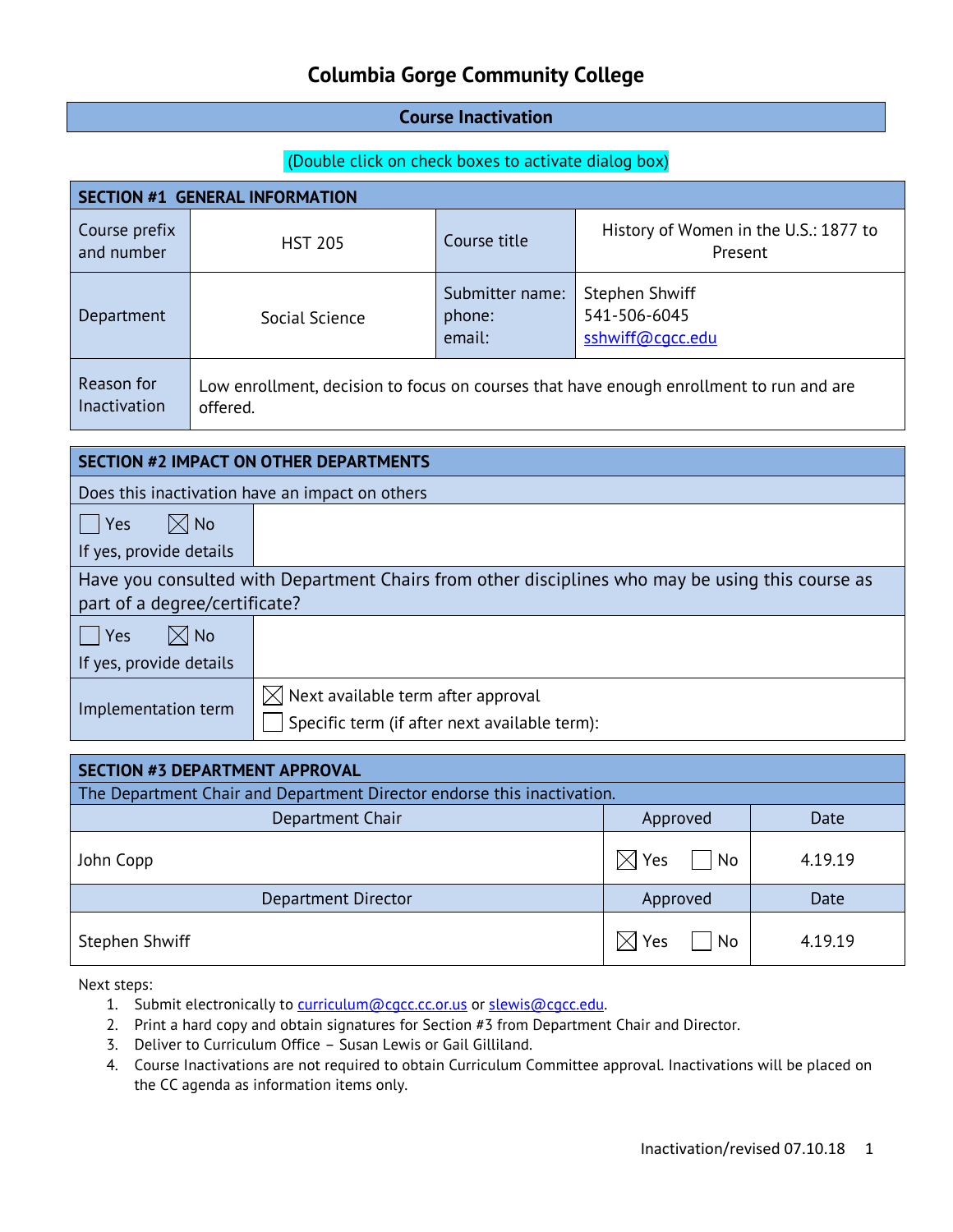#### **Course Inactivation**

#### (Double click on check boxes to activate dialog box)

| <b>SECTION #1 GENERAL INFORMATION</b>           |                                                                                                     |                                     |                                                           |  |
|-------------------------------------------------|-----------------------------------------------------------------------------------------------------|-------------------------------------|-----------------------------------------------------------|--|
| Course prefix<br>and number                     | <b>HST 205</b>                                                                                      | Course title                        | History of Women in the U.S.: 1877 to<br>Present          |  |
| Department                                      | Social Science                                                                                      | Submitter name:<br>phone:<br>email: | <b>Stephen Shwiff</b><br>541-506-6045<br>sshwiff@cgcc.edu |  |
| Reason for<br>Inactivation                      | Low enrollment, decision to focus on courses that have enough enrollment to run and are<br>offered. |                                     |                                                           |  |
|                                                 |                                                                                                     |                                     |                                                           |  |
| <b>SECTION #2 IMPACT ON OTHER DEPARTMENTS</b>   |                                                                                                     |                                     |                                                           |  |
| Does this inactivation have an impact on others |                                                                                                     |                                     |                                                           |  |
| <b>Yes</b>                                      | $\boxtimes$ No                                                                                      |                                     |                                                           |  |
| If yes, provide details                         |                                                                                                     |                                     |                                                           |  |

### Have you consulted with Department Chairs from other disciplines who may be using this course as part of a degree/certificate?

| $\boxtimes$ l No<br> Yes |                                                                                                 |
|--------------------------|-------------------------------------------------------------------------------------------------|
| If yes, provide details  |                                                                                                 |
| Implementation term      | $\boxtimes$ Next available term after approval<br>Specific term (if after next available term): |

| SECTION #3 DEPARTMENT APPROVAL                                          |                         |         |  |  |
|-------------------------------------------------------------------------|-------------------------|---------|--|--|
| The Department Chair and Department Director endorse this inactivation. |                         |         |  |  |
| Department Chair                                                        | Approved                | Date    |  |  |
| John Copp                                                               | $\boxtimes$ Yes<br>  No | 4.19.19 |  |  |
| Department Director                                                     | Approved                | Date    |  |  |
| Stephen Shwiff                                                          | $\boxtimes$ Yes<br>  No | 4.19.19 |  |  |

- 1. Submit electronically to [curriculum@cgcc.cc.or.us](mailto:curriculum@cgcc.cc.or.us) or slewis@cgcc.edu.
- 2. Print a hard copy and obtain signatures for Section #3 from Department Chair and Director.
- 3. Deliver to Curriculum Office Susan Lewis or Gail Gilliland.
- 4. Course Inactivations are not required to obtain Curriculum Committee approval. Inactivations will be placed on the CC agenda as information items only.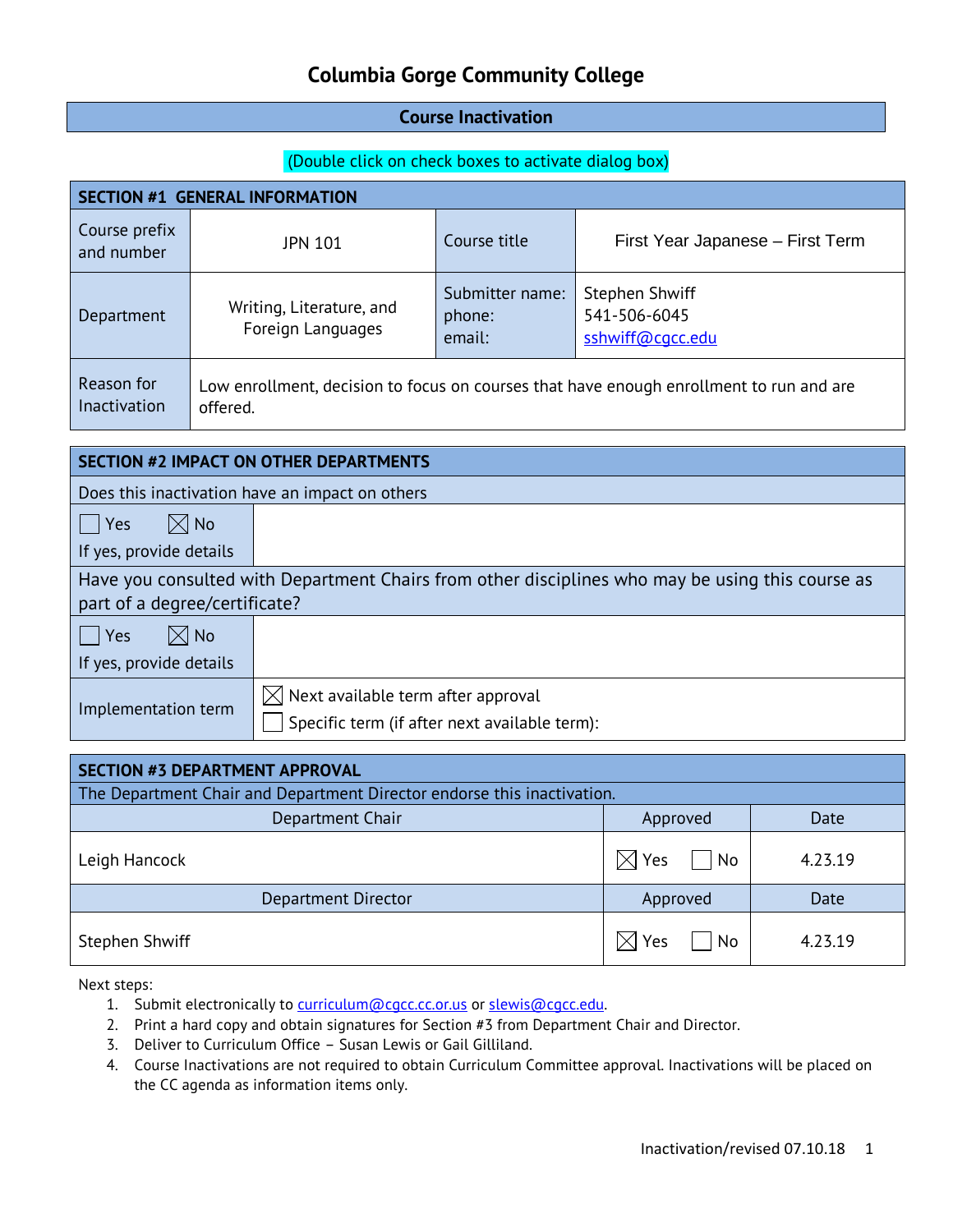#### **Course Inactivation**

#### (Double click on check boxes to activate dialog box)

| <b>SECTION #1 GENERAL INFORMATION</b> |                                                                                                     |                                     |                                                    |  |  |
|---------------------------------------|-----------------------------------------------------------------------------------------------------|-------------------------------------|----------------------------------------------------|--|--|
| Course prefix<br>and number           | JPN 101                                                                                             | Course title                        | First Year Japanese - First Term                   |  |  |
| Department                            | Writing, Literature, and<br>Foreign Languages                                                       | Submitter name:<br>phone:<br>email: | Stephen Shwiff<br>541-506-6045<br>sshwiff@cqcc.edu |  |  |
| Reason for<br>Inactivation            | Low enrollment, decision to focus on courses that have enough enrollment to run and are<br>offered. |                                     |                                                    |  |  |

| <b>SECTION #2 IMPACT ON OTHER DEPARTMENTS</b>                                                                                     |                                                                                                 |  |  |
|-----------------------------------------------------------------------------------------------------------------------------------|-------------------------------------------------------------------------------------------------|--|--|
| Does this inactivation have an impact on others                                                                                   |                                                                                                 |  |  |
| $\boxtimes$ No<br>Yes                                                                                                             |                                                                                                 |  |  |
| If yes, provide details                                                                                                           |                                                                                                 |  |  |
| Have you consulted with Department Chairs from other disciplines who may be using this course as<br>part of a degree/certificate? |                                                                                                 |  |  |
| $\boxtimes$ No<br>Yes                                                                                                             |                                                                                                 |  |  |
| If yes, provide details                                                                                                           |                                                                                                 |  |  |
| Implementation term                                                                                                               | $\boxtimes$ Next available term after approval<br>Specific term (if after next available term): |  |  |

| <b>SECTION #3 DEPARTMENT APPROVAL</b>                                   |                                   |         |  |  |
|-------------------------------------------------------------------------|-----------------------------------|---------|--|--|
| The Department Chair and Department Director endorse this inactivation. |                                   |         |  |  |
| Department Chair                                                        | Approved                          | Date    |  |  |
| Leigh Hancock                                                           | $\boxtimes$ Yes<br>  No           | 4.23.19 |  |  |
| Department Director                                                     | Approved                          | Date    |  |  |
| Stephen Shwiff                                                          | N <sub>o</sub><br>$\boxtimes$ Yes | 4.23.19 |  |  |

- 1. Submit electronically to [curriculum@cgcc.cc.or.us](mailto:curriculum@cgcc.cc.or.us) or slewis@cgcc.edu.
- 2. Print a hard copy and obtain signatures for Section #3 from Department Chair and Director.
- 3. Deliver to Curriculum Office Susan Lewis or Gail Gilliland.
- 4. Course Inactivations are not required to obtain Curriculum Committee approval. Inactivations will be placed on the CC agenda as information items only.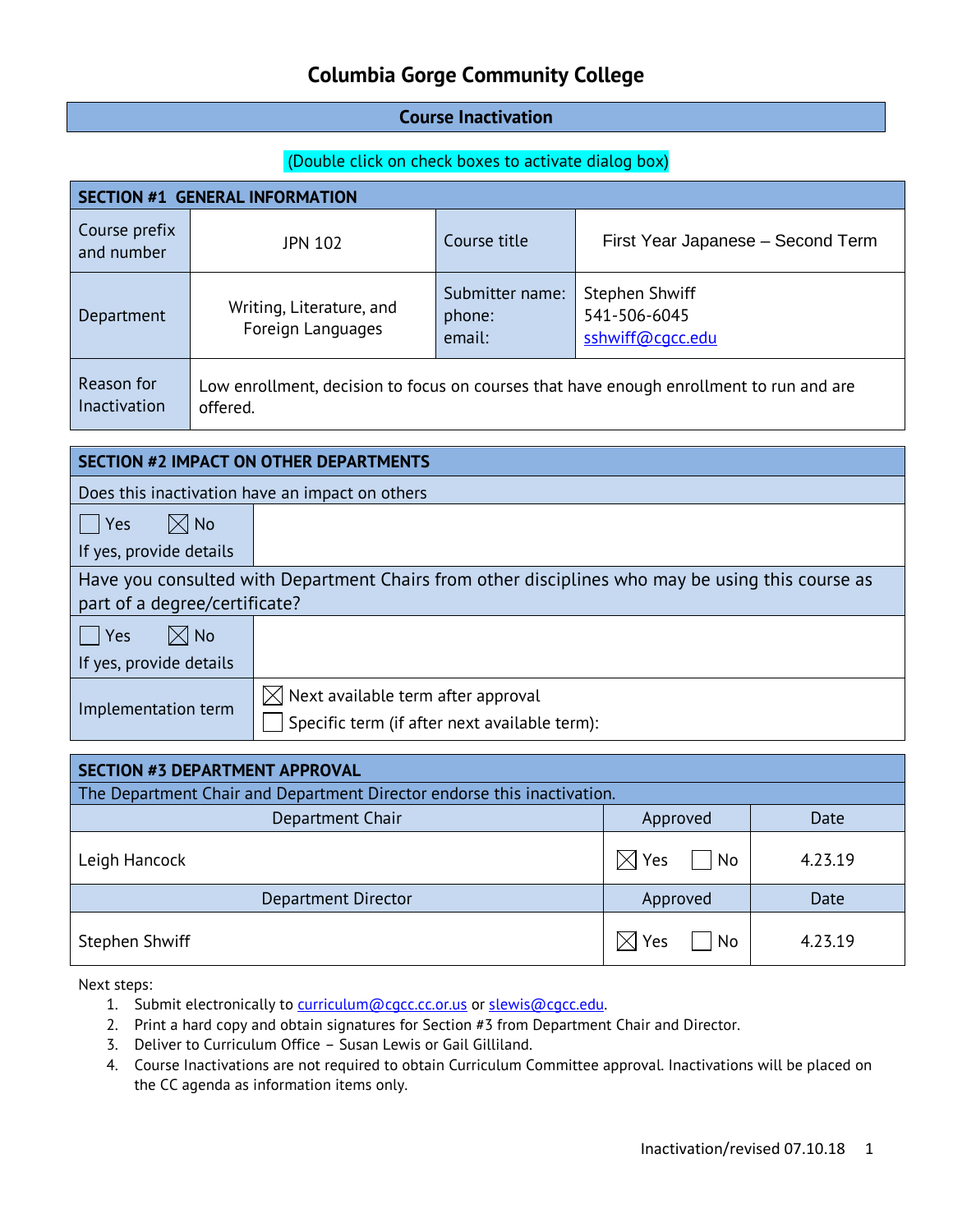#### **Course Inactivation**

#### (Double click on check boxes to activate dialog box)

| <b>SECTION #1 GENERAL INFORMATION</b> |                                                                                                     |                                     |                                                    |  |  |
|---------------------------------------|-----------------------------------------------------------------------------------------------------|-------------------------------------|----------------------------------------------------|--|--|
| Course prefix<br>and number           | <b>JPN 102</b>                                                                                      | Course title                        | First Year Japanese - Second Term                  |  |  |
| Department                            | Writing, Literature, and<br>Foreign Languages                                                       | Submitter name:<br>phone:<br>email: | Stephen Shwiff<br>541-506-6045<br>sshwiff@cgcc.edu |  |  |
| Reason for<br>Inactivation            | Low enrollment, decision to focus on courses that have enough enrollment to run and are<br>offered. |                                     |                                                    |  |  |

| <b>SECTION #2 IMPACT ON OTHER DEPARTMENTS</b>   |                                                                                                  |  |  |  |
|-------------------------------------------------|--------------------------------------------------------------------------------------------------|--|--|--|
| Does this inactivation have an impact on others |                                                                                                  |  |  |  |
| $\boxtimes$ No<br>Yes                           |                                                                                                  |  |  |  |
| If yes, provide details                         |                                                                                                  |  |  |  |
|                                                 | Have you consulted with Department Chairs from other disciplines who may be using this course as |  |  |  |
| part of a degree/certificate?                   |                                                                                                  |  |  |  |
| $\boxtimes$ No<br>Yes                           |                                                                                                  |  |  |  |
| If yes, provide details                         |                                                                                                  |  |  |  |
|                                                 | $\boxtimes$ Next available term after approval                                                   |  |  |  |
| Implementation term                             | Specific term (if after next available term):                                                    |  |  |  |

| <b>SECTION #3 DEPARTMENT APPROVAL</b>                                   |                   |         |  |
|-------------------------------------------------------------------------|-------------------|---------|--|
| The Department Chair and Department Director endorse this inactivation. |                   |         |  |
| Department Chair                                                        | Approved          | Date    |  |
| Leigh Hancock                                                           | Yes<br>IХ<br>  No | 4.23.19 |  |
| Department Director                                                     | Approved          | Date    |  |
| Stephen Shwiff                                                          | Yes<br>No<br>IXI  | 4.23.19 |  |

- 1. Submit electronically to [curriculum@cgcc.cc.or.us](mailto:curriculum@cgcc.cc.or.us) or slewis@cgcc.edu.
- 2. Print a hard copy and obtain signatures for Section #3 from Department Chair and Director.
- 3. Deliver to Curriculum Office Susan Lewis or Gail Gilliland.
- 4. Course Inactivations are not required to obtain Curriculum Committee approval. Inactivations will be placed on the CC agenda as information items only.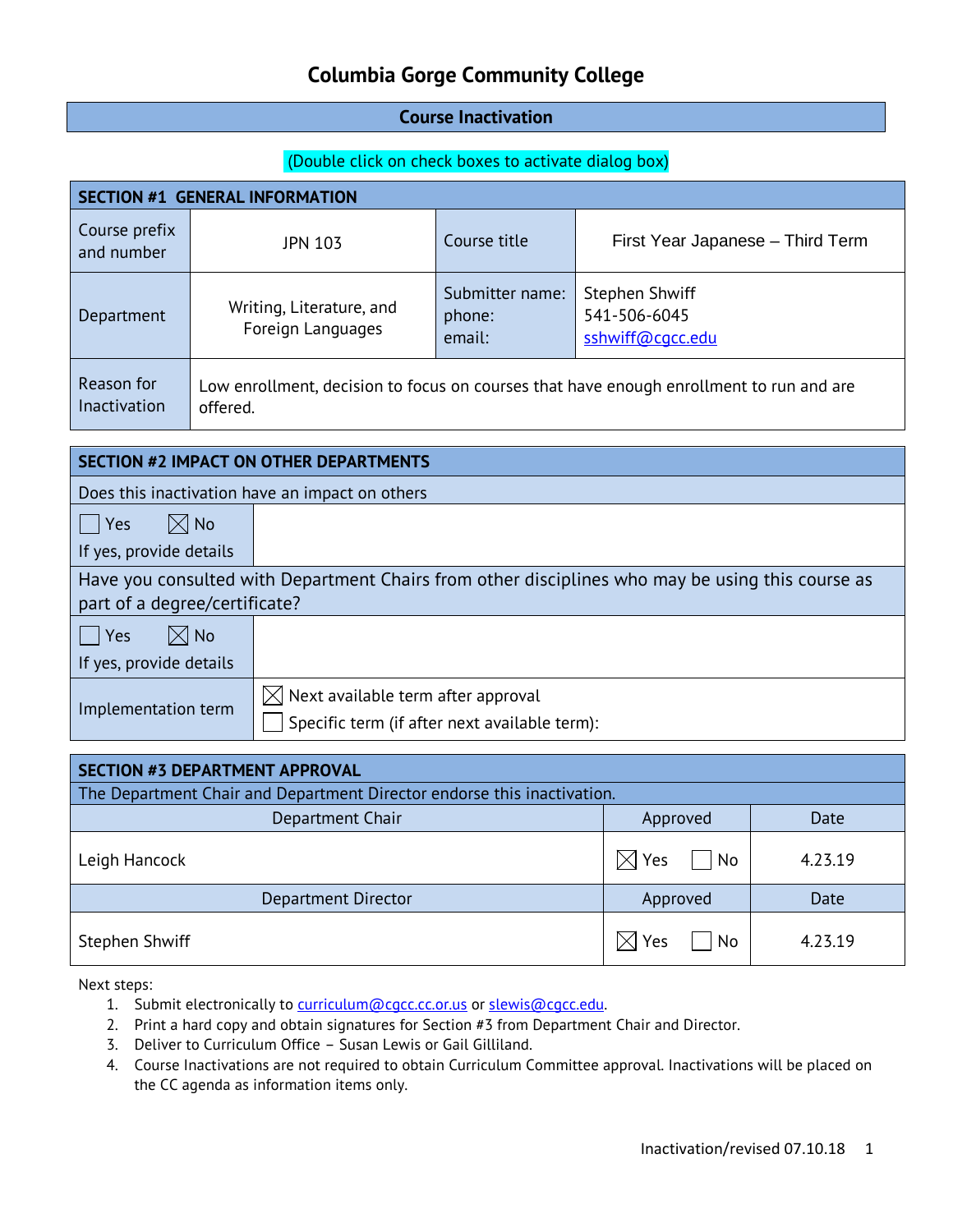#### **Course Inactivation**

#### (Double click on check boxes to activate dialog box)

| <b>SECTION #1 GENERAL INFORMATION</b>                                                                                             |                                               |                                     |                                                    |  |  |
|-----------------------------------------------------------------------------------------------------------------------------------|-----------------------------------------------|-------------------------------------|----------------------------------------------------|--|--|
| Course prefix<br>and number                                                                                                       | JPN 103                                       | Course title                        | First Year Japanese - Third Term                   |  |  |
| Department                                                                                                                        | Writing, Literature, and<br>Foreign Languages | Submitter name:<br>phone:<br>email: | Stephen Shwiff<br>541-506-6045<br>sshwiff@cqcc.edu |  |  |
| Reason for<br>Low enrollment, decision to focus on courses that have enough enrollment to run and are<br>Inactivation<br>offered. |                                               |                                     |                                                    |  |  |

| <b>SECTION #2 IMPACT ON OTHER DEPARTMENTS</b>                                                                                     |                                                                                                |  |  |
|-----------------------------------------------------------------------------------------------------------------------------------|------------------------------------------------------------------------------------------------|--|--|
| Does this inactivation have an impact on others                                                                                   |                                                                                                |  |  |
| $\boxtimes$ No<br>Yes                                                                                                             |                                                                                                |  |  |
| If yes, provide details                                                                                                           |                                                                                                |  |  |
| Have you consulted with Department Chairs from other disciplines who may be using this course as<br>part of a degree/certificate? |                                                                                                |  |  |
| $\boxtimes$ No<br>Yes                                                                                                             |                                                                                                |  |  |
| If yes, provide details                                                                                                           |                                                                                                |  |  |
| Implementation term                                                                                                               | $[\times]$ Next available term after approval<br>Specific term (if after next available term): |  |  |

| <b>SECTION #3 DEPARTMENT APPROVAL</b>                                   |                                   |         |  |
|-------------------------------------------------------------------------|-----------------------------------|---------|--|
| The Department Chair and Department Director endorse this inactivation. |                                   |         |  |
| Department Chair                                                        | Approved                          | Date    |  |
| Leigh Hancock                                                           | $\boxtimes$ Yes<br>  No           | 4.23.19 |  |
| Department Director                                                     | Approved                          | Date    |  |
| Stephen Shwiff                                                          | N <sub>o</sub><br>$\boxtimes$ Yes | 4.23.19 |  |

- 1. Submit electronically to [curriculum@cgcc.cc.or.us](mailto:curriculum@cgcc.cc.or.us) or slewis@cgcc.edu.
- 2. Print a hard copy and obtain signatures for Section #3 from Department Chair and Director.
- 3. Deliver to Curriculum Office Susan Lewis or Gail Gilliland.
- 4. Course Inactivations are not required to obtain Curriculum Committee approval. Inactivations will be placed on the CC agenda as information items only.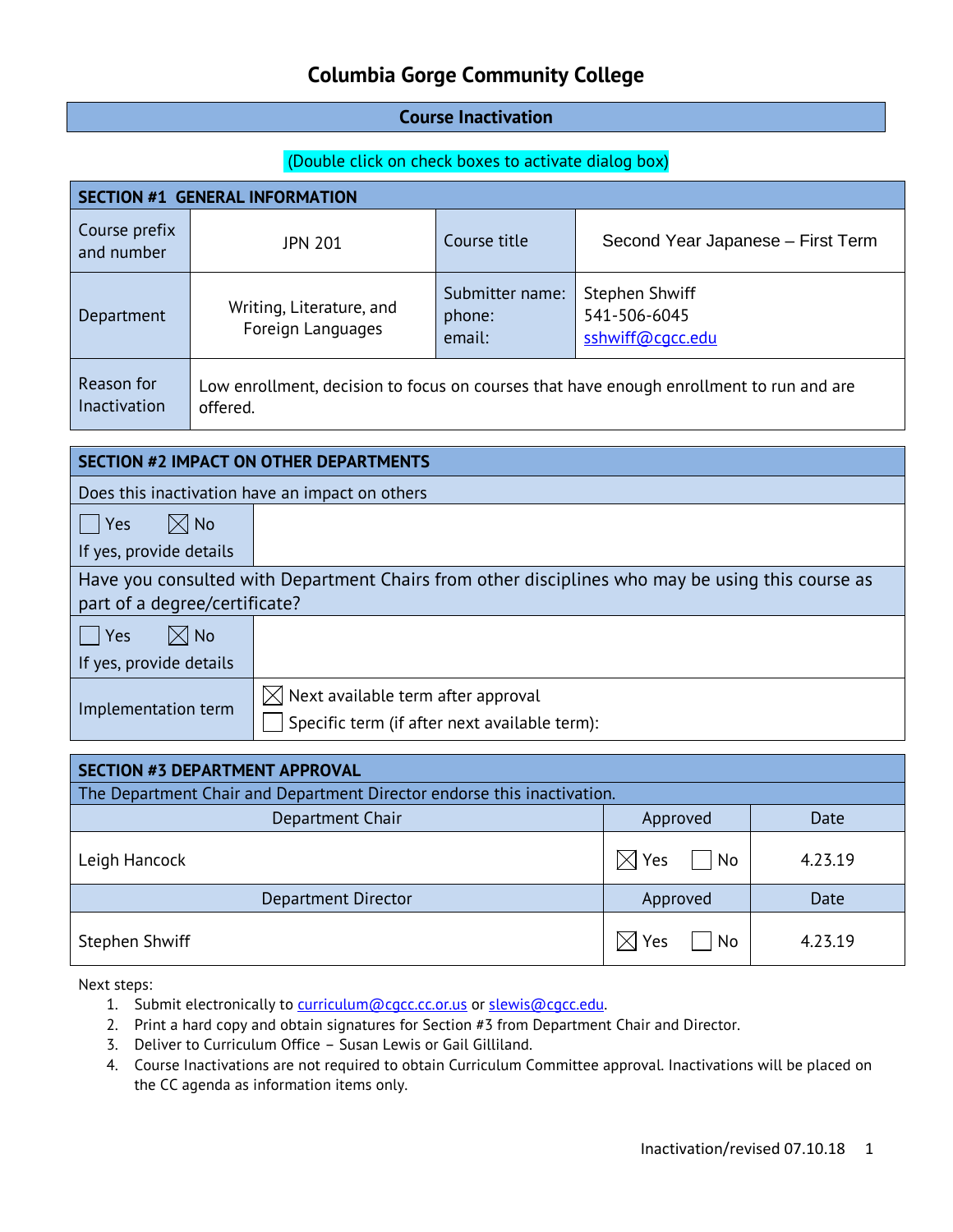#### **Course Inactivation**

#### (Double click on check boxes to activate dialog box)

| <b>SECTION #1 GENERAL INFORMATION</b> |                                                                                                     |                                     |                                                    |  |  |
|---------------------------------------|-----------------------------------------------------------------------------------------------------|-------------------------------------|----------------------------------------------------|--|--|
| Course prefix<br>and number           | <b>JPN 201</b>                                                                                      | Course title                        | Second Year Japanese - First Term                  |  |  |
| Department                            | Writing, Literature, and<br>Foreign Languages                                                       | Submitter name:<br>phone:<br>email: | Stephen Shwiff<br>541-506-6045<br>sshwiff@cqcc.edu |  |  |
| Reason for<br>Inactivation            | Low enrollment, decision to focus on courses that have enough enrollment to run and are<br>offered. |                                     |                                                    |  |  |

| <b>SECTION #2 IMPACT ON OTHER DEPARTMENTS</b>                                                                                     |                                                                                                 |  |  |
|-----------------------------------------------------------------------------------------------------------------------------------|-------------------------------------------------------------------------------------------------|--|--|
| Does this inactivation have an impact on others                                                                                   |                                                                                                 |  |  |
| $\boxtimes$ No<br>Yes                                                                                                             |                                                                                                 |  |  |
| If yes, provide details                                                                                                           |                                                                                                 |  |  |
| Have you consulted with Department Chairs from other disciplines who may be using this course as<br>part of a degree/certificate? |                                                                                                 |  |  |
| $\boxtimes$ No<br>Yes                                                                                                             |                                                                                                 |  |  |
| If yes, provide details                                                                                                           |                                                                                                 |  |  |
| Implementation term                                                                                                               | $\boxtimes$ Next available term after approval<br>Specific term (if after next available term): |  |  |

| <b>SECTION #3 DEPARTMENT APPROVAL</b>                                   |                           |         |  |
|-------------------------------------------------------------------------|---------------------------|---------|--|
| The Department Chair and Department Director endorse this inactivation. |                           |         |  |
| Department Chair                                                        | Approved                  | Date    |  |
| Leigh Hancock                                                           | Yes<br>$ $ No<br>$\times$ | 4.23.19 |  |
| <b>Department Director</b>                                              | Approved                  | Date    |  |
| Stephen Shwiff                                                          | Yes<br>No<br>IXI          | 4.23.19 |  |

- 1. Submit electronically to [curriculum@cgcc.cc.or.us](mailto:curriculum@cgcc.cc.or.us) or slewis@cgcc.edu.
- 2. Print a hard copy and obtain signatures for Section #3 from Department Chair and Director.
- 3. Deliver to Curriculum Office Susan Lewis or Gail Gilliland.
- 4. Course Inactivations are not required to obtain Curriculum Committee approval. Inactivations will be placed on the CC agenda as information items only.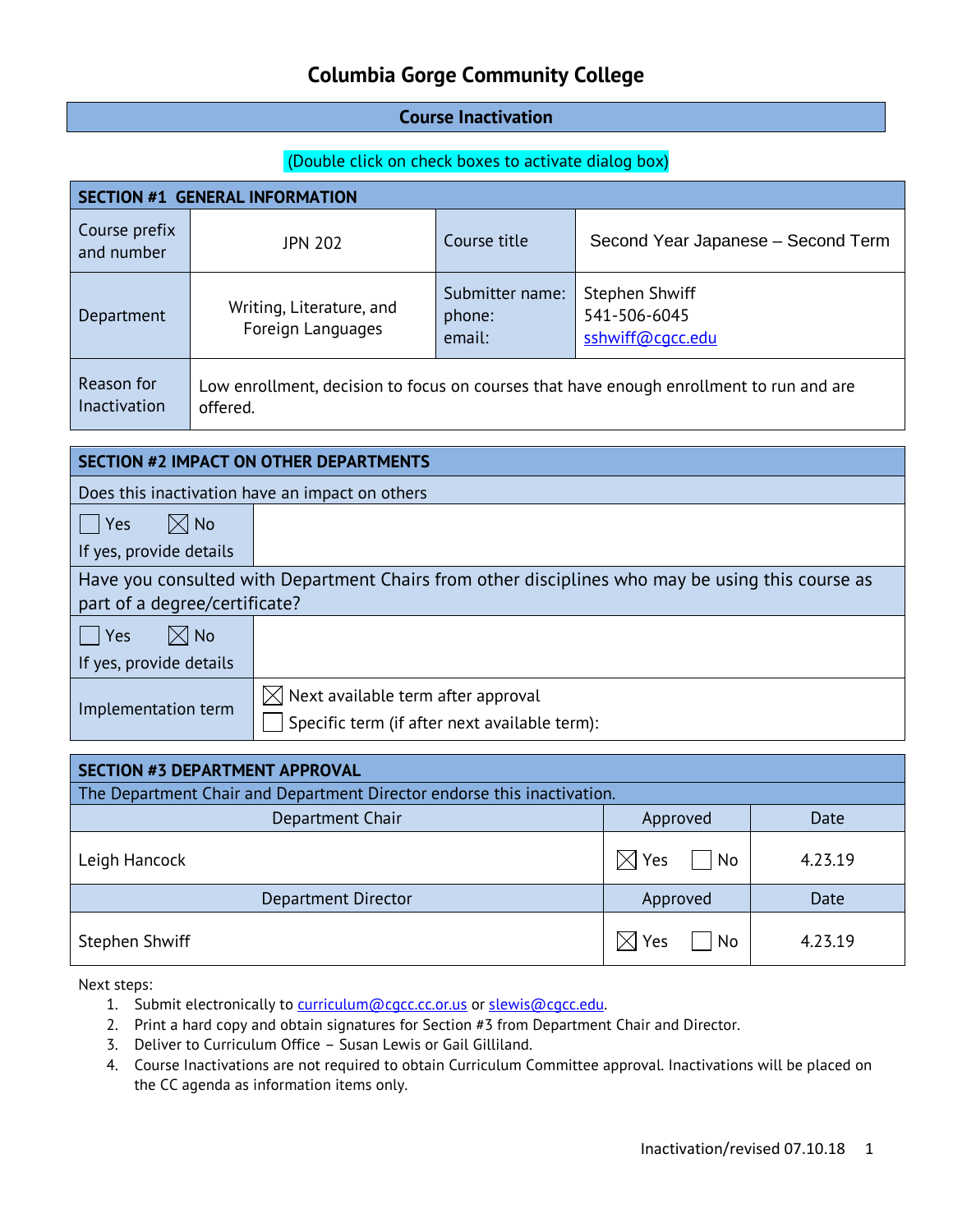#### **Course Inactivation**

#### (Double click on check boxes to activate dialog box)

| <b>SECTION #1 GENERAL INFORMATION</b> |                                                                                                     |                                     |                                                    |  |  |
|---------------------------------------|-----------------------------------------------------------------------------------------------------|-------------------------------------|----------------------------------------------------|--|--|
| Course prefix<br>and number           | <b>JPN 202</b>                                                                                      | Course title                        | Second Year Japanese - Second Term                 |  |  |
| Department                            | Writing, Literature, and<br>Foreign Languages                                                       | Submitter name:<br>phone:<br>email: | Stephen Shwiff<br>541-506-6045<br>sshwiff@cqcc.edu |  |  |
| Reason for<br>Inactivation            | Low enrollment, decision to focus on courses that have enough enrollment to run and are<br>offered. |                                     |                                                    |  |  |

| <b>SECTION #2 IMPACT ON OTHER DEPARTMENTS</b>   |                                                                                                  |  |  |
|-------------------------------------------------|--------------------------------------------------------------------------------------------------|--|--|
| Does this inactivation have an impact on others |                                                                                                  |  |  |
| $\boxtimes$ No<br>Yes                           |                                                                                                  |  |  |
| If yes, provide details                         |                                                                                                  |  |  |
|                                                 | Have you consulted with Department Chairs from other disciplines who may be using this course as |  |  |
| part of a degree/certificate?                   |                                                                                                  |  |  |
| $\boxtimes$ No<br>Yes                           |                                                                                                  |  |  |
| If yes, provide details                         |                                                                                                  |  |  |
|                                                 | $\boxtimes$ Next available term after approval                                                   |  |  |
| Implementation term                             | Specific term (if after next available term):                                                    |  |  |

| <b>SECTION #3 DEPARTMENT APPROVAL</b>                                   |                   |         |  |
|-------------------------------------------------------------------------|-------------------|---------|--|
| The Department Chair and Department Director endorse this inactivation. |                   |         |  |
| Department Chair                                                        | Approved          | Date    |  |
| Leigh Hancock                                                           | Yes<br>IХ<br>  No | 4.23.19 |  |
| Department Director                                                     | Approved          | Date    |  |
| Stephen Shwiff                                                          | Yes<br>No<br>IXI  | 4.23.19 |  |

- 1. Submit electronically to [curriculum@cgcc.cc.or.us](mailto:curriculum@cgcc.cc.or.us) or slewis@cgcc.edu.
- 2. Print a hard copy and obtain signatures for Section #3 from Department Chair and Director.
- 3. Deliver to Curriculum Office Susan Lewis or Gail Gilliland.
- 4. Course Inactivations are not required to obtain Curriculum Committee approval. Inactivations will be placed on the CC agenda as information items only.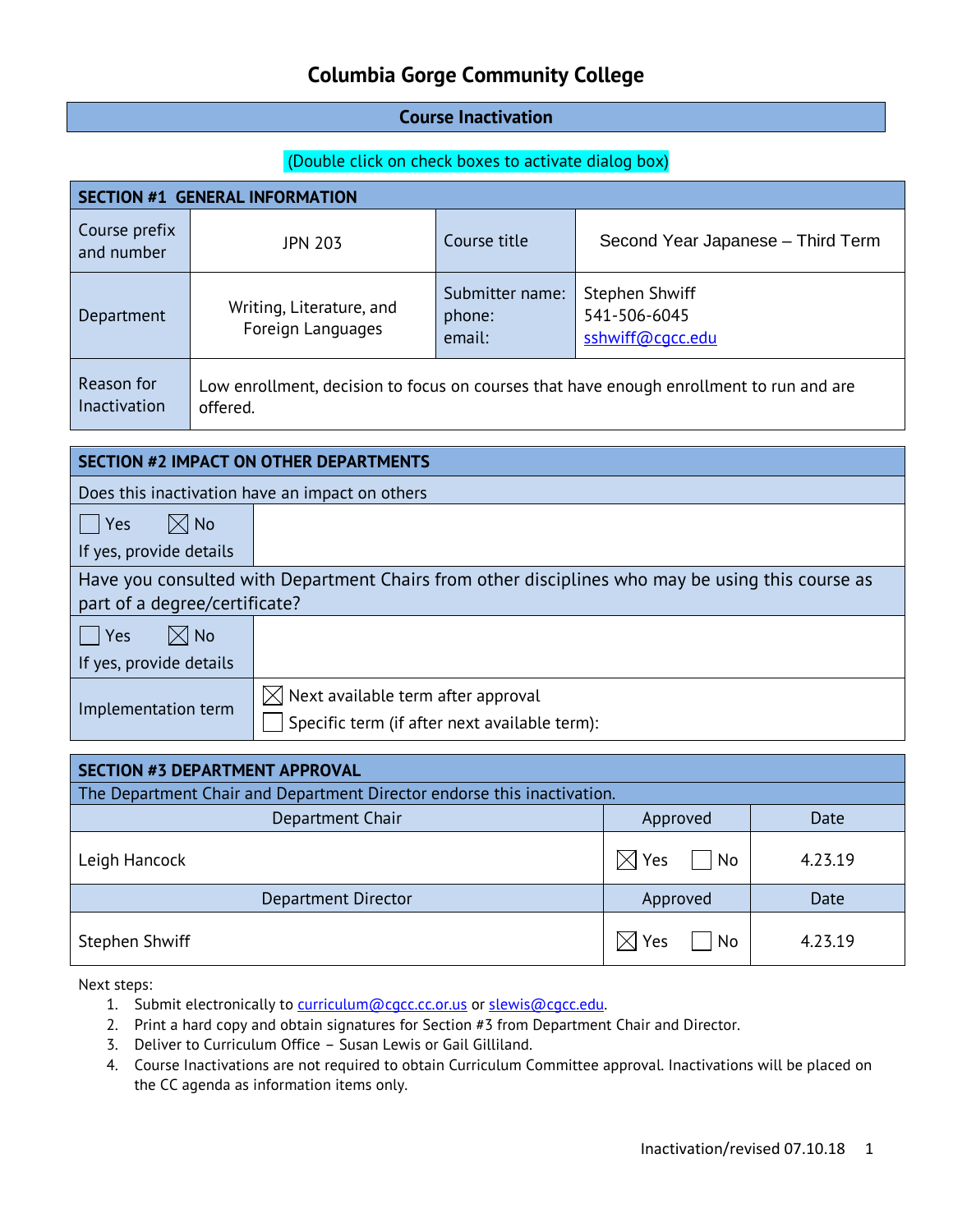#### **Course Inactivation**

#### (Double click on check boxes to activate dialog box)

| <b>SECTION #1 GENERAL INFORMATION</b> |                                                                                                     |                                     |                                                    |  |  |
|---------------------------------------|-----------------------------------------------------------------------------------------------------|-------------------------------------|----------------------------------------------------|--|--|
| Course prefix<br>and number           | <b>JPN 203</b>                                                                                      | Course title                        | Second Year Japanese - Third Term                  |  |  |
| Department                            | Writing, Literature, and<br>Foreign Languages                                                       | Submitter name:<br>phone:<br>email: | Stephen Shwiff<br>541-506-6045<br>sshwiff@cqcc.edu |  |  |
| Reason for<br>Inactivation            | Low enrollment, decision to focus on courses that have enough enrollment to run and are<br>offered. |                                     |                                                    |  |  |

| <b>SECTION #2 IMPACT ON OTHER DEPARTMENTS</b>                                                                                     |                                                                                                |  |  |
|-----------------------------------------------------------------------------------------------------------------------------------|------------------------------------------------------------------------------------------------|--|--|
| Does this inactivation have an impact on others                                                                                   |                                                                                                |  |  |
| $\boxtimes$ No<br>Yes                                                                                                             |                                                                                                |  |  |
| If yes, provide details                                                                                                           |                                                                                                |  |  |
| Have you consulted with Department Chairs from other disciplines who may be using this course as<br>part of a degree/certificate? |                                                                                                |  |  |
| $\boxtimes$ No<br>Yes                                                                                                             |                                                                                                |  |  |
| If yes, provide details                                                                                                           |                                                                                                |  |  |
| Implementation term                                                                                                               | $[\times]$ Next available term after approval<br>Specific term (if after next available term): |  |  |

| <b>SECTION #3 DEPARTMENT APPROVAL</b>                                   |                                   |         |  |  |
|-------------------------------------------------------------------------|-----------------------------------|---------|--|--|
| The Department Chair and Department Director endorse this inactivation. |                                   |         |  |  |
| Department Chair                                                        | Approved                          | Date    |  |  |
| Leigh Hancock                                                           | $\boxtimes$ Yes<br>  No           | 4.23.19 |  |  |
| Department Director                                                     | Approved                          | Date    |  |  |
| Stephen Shwiff                                                          | N <sub>o</sub><br>$\boxtimes$ Yes | 4.23.19 |  |  |

- 1. Submit electronically to [curriculum@cgcc.cc.or.us](mailto:curriculum@cgcc.cc.or.us) or slewis@cgcc.edu.
- 2. Print a hard copy and obtain signatures for Section #3 from Department Chair and Director.
- 3. Deliver to Curriculum Office Susan Lewis or Gail Gilliland.
- 4. Course Inactivations are not required to obtain Curriculum Committee approval. Inactivations will be placed on the CC agenda as information items only.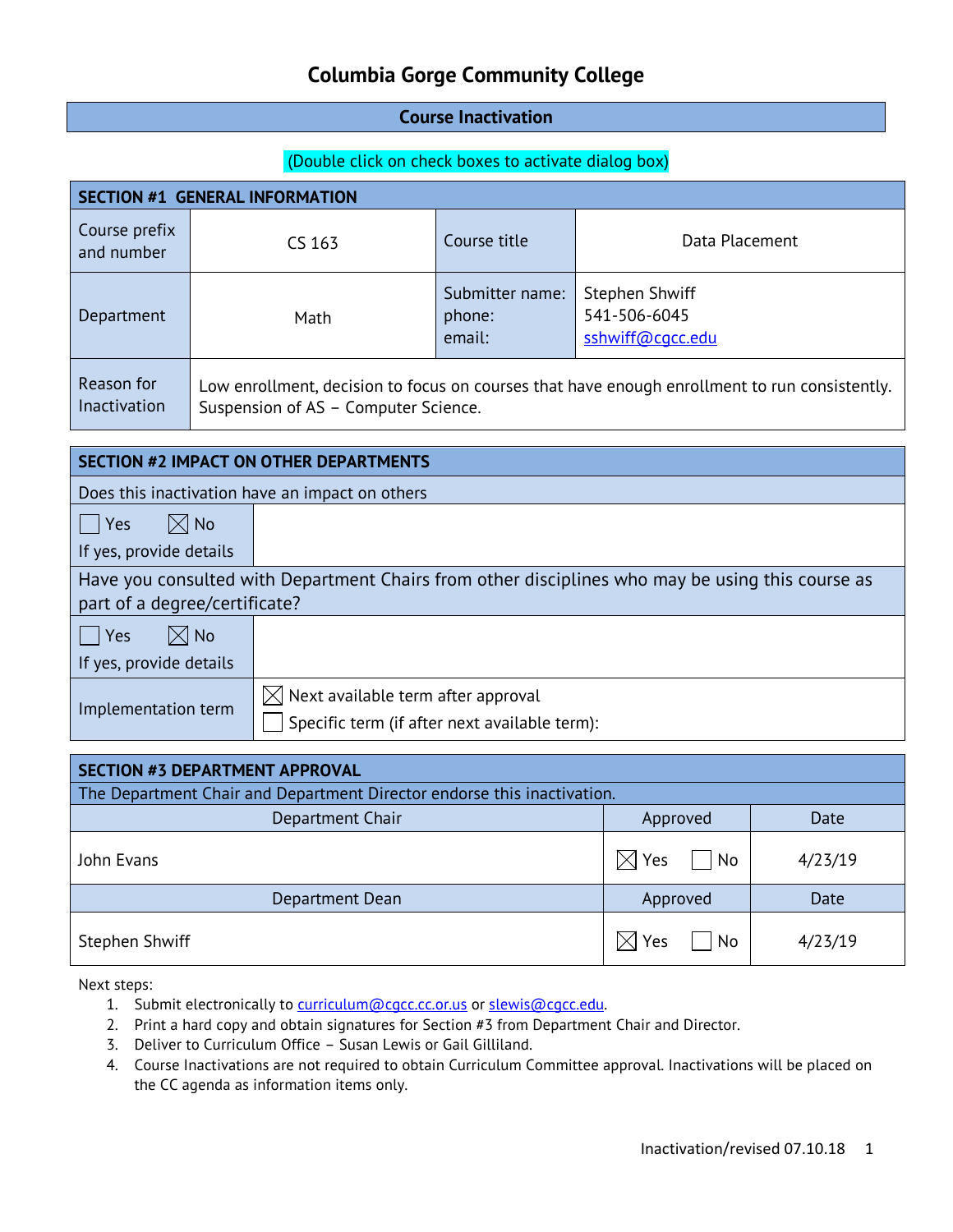#### **Course Inactivation**

#### (Double click on check boxes to activate dialog box)

| <b>SECTION #1 GENERAL INFORMATION</b> |                                      |                                     |                                                                                               |  |  |
|---------------------------------------|--------------------------------------|-------------------------------------|-----------------------------------------------------------------------------------------------|--|--|
| Course prefix<br>and number           | CS 163                               | Course title                        | Data Placement                                                                                |  |  |
| Department                            | Math                                 | Submitter name:<br>phone:<br>email: | Stephen Shwiff<br>541-506-6045<br>sshwiff@cgcc.edu                                            |  |  |
| Reason for<br><b>Inactivation</b>     | Suspension of AS - Computer Science. |                                     | Low enrollment, decision to focus on courses that have enough enrollment to run consistently. |  |  |

| <b>SECTION #2 IMPACT ON OTHER DEPARTMENTS</b>   |                                                                                                  |  |  |
|-------------------------------------------------|--------------------------------------------------------------------------------------------------|--|--|
| Does this inactivation have an impact on others |                                                                                                  |  |  |
| $\boxtimes$ No<br>$ $ Yes                       |                                                                                                  |  |  |
| If yes, provide details                         |                                                                                                  |  |  |
|                                                 | Have you consulted with Department Chairs from other disciplines who may be using this course as |  |  |
| part of a degree/certificate?                   |                                                                                                  |  |  |
| $\boxtimes$ No<br>Yes                           |                                                                                                  |  |  |
| If yes, provide details                         |                                                                                                  |  |  |
| Implementation term                             | $\boxtimes$ Next available term after approval<br>Specific term (if after next available term):  |  |  |

| SECTION #3 DEPARTMENT APPROVAL                                          |                         |         |  |  |
|-------------------------------------------------------------------------|-------------------------|---------|--|--|
| The Department Chair and Department Director endorse this inactivation. |                         |         |  |  |
| Department Chair                                                        | Approved                | Date    |  |  |
| John Evans                                                              | $\boxtimes$ Yes<br>  No | 4/23/19 |  |  |
| Department Dean                                                         | Approved                | Date    |  |  |
| Stephen Shwiff                                                          | Yes<br>No<br>$\times$   | 4/23/19 |  |  |

- 1. Submit electronically to [curriculum@cgcc.cc.or.us](mailto:curriculum@cgcc.cc.or.us) or slewis@cgcc.edu.
- 2. Print a hard copy and obtain signatures for Section #3 from Department Chair and Director.
- 3. Deliver to Curriculum Office Susan Lewis or Gail Gilliland.
- 4. Course Inactivations are not required to obtain Curriculum Committee approval. Inactivations will be placed on the CC agenda as information items only.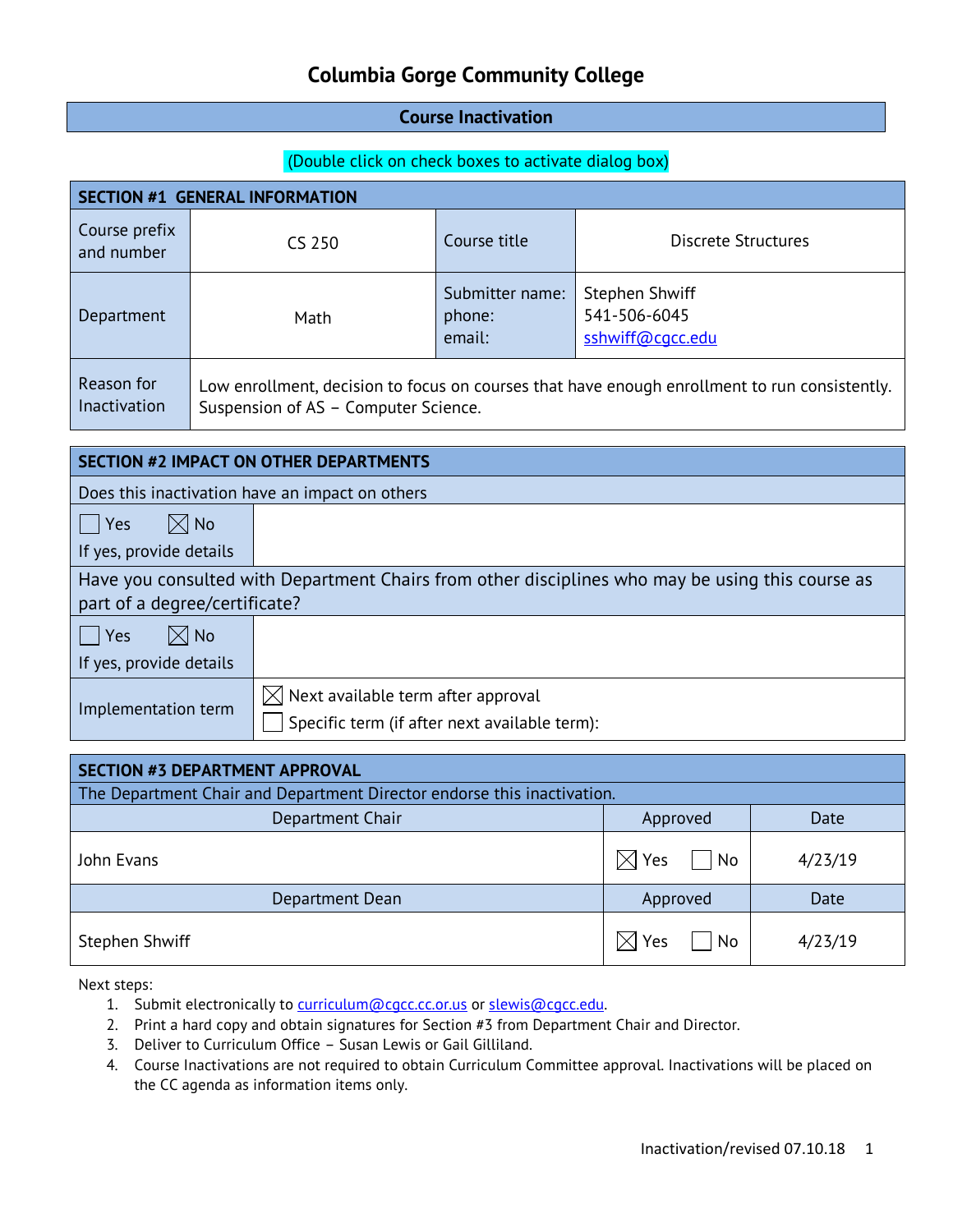#### **Course Inactivation**

#### (Double click on check boxes to activate dialog box)

| <b>SECTION #1 GENERAL INFORMATION</b> |                                      |                                     |                                                                                               |  |  |
|---------------------------------------|--------------------------------------|-------------------------------------|-----------------------------------------------------------------------------------------------|--|--|
| Course prefix<br>and number           | CS 250                               | Course title                        | <b>Discrete Structures</b>                                                                    |  |  |
| Department                            | Math                                 | Submitter name:<br>phone:<br>email: | Stephen Shwiff<br>541-506-6045<br>sshwiff@cgcc.edu                                            |  |  |
| Reason for<br><b>Inactivation</b>     | Suspension of AS - Computer Science. |                                     | Low enrollment, decision to focus on courses that have enough enrollment to run consistently. |  |  |

| <b>SECTION #2 IMPACT ON OTHER DEPARTMENTS</b>   |                                                                                                  |  |  |
|-------------------------------------------------|--------------------------------------------------------------------------------------------------|--|--|
| Does this inactivation have an impact on others |                                                                                                  |  |  |
| $\boxtimes$ No<br>$ $ Yes                       |                                                                                                  |  |  |
| If yes, provide details                         |                                                                                                  |  |  |
|                                                 | Have you consulted with Department Chairs from other disciplines who may be using this course as |  |  |
| part of a degree/certificate?                   |                                                                                                  |  |  |
| $\boxtimes$ No<br>Yes                           |                                                                                                  |  |  |
| If yes, provide details                         |                                                                                                  |  |  |
| Implementation term                             | $\boxtimes$ Next available term after approval<br>Specific term (if after next available term):  |  |  |

| SECTION #3 DEPARTMENT APPROVAL                                          |                           |         |  |  |
|-------------------------------------------------------------------------|---------------------------|---------|--|--|
| The Department Chair and Department Director endorse this inactivation. |                           |         |  |  |
| Department Chair                                                        | Approved                  | Date    |  |  |
| John Evans                                                              | $\boxtimes$ Yes<br>$ $ No | 4/23/19 |  |  |
| Department Dean                                                         | Approved                  | Date    |  |  |
| Stephen Shwiff                                                          | Yes<br>No<br>$\times$     | 4/23/19 |  |  |

- 1. Submit electronically to [curriculum@cgcc.cc.or.us](mailto:curriculum@cgcc.cc.or.us) or slewis@cgcc.edu.
- 2. Print a hard copy and obtain signatures for Section #3 from Department Chair and Director.
- 3. Deliver to Curriculum Office Susan Lewis or Gail Gilliland.
- 4. Course Inactivations are not required to obtain Curriculum Committee approval. Inactivations will be placed on the CC agenda as information items only.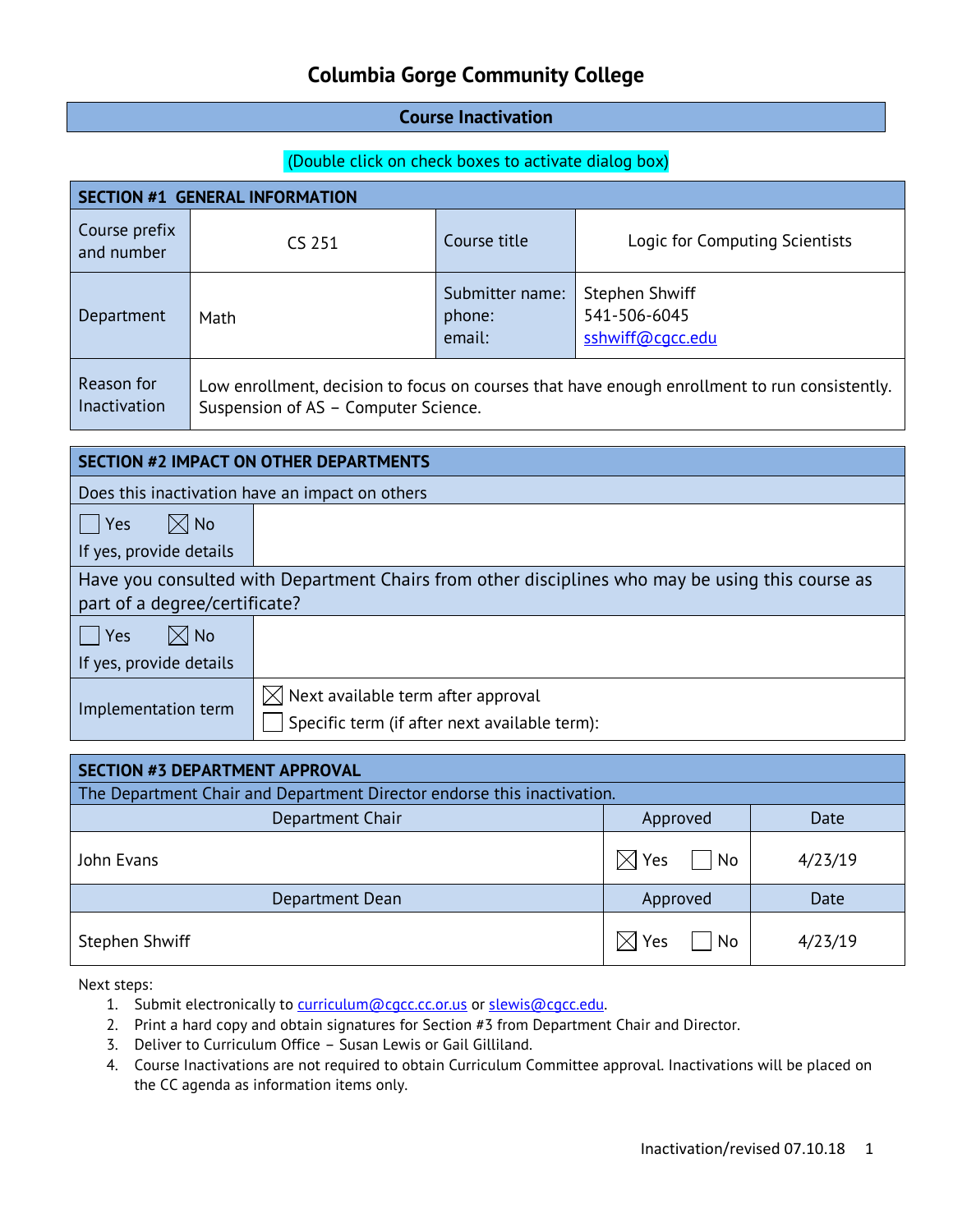#### **Course Inactivation**

#### (Double click on check boxes to activate dialog box)

| <b>SECTION #1 GENERAL INFORMATION</b> |                                      |                                     |                                                                                               |  |  |
|---------------------------------------|--------------------------------------|-------------------------------------|-----------------------------------------------------------------------------------------------|--|--|
| Course prefix<br>and number           | CS 251                               | Course title                        | Logic for Computing Scientists                                                                |  |  |
| Department                            | Math                                 | Submitter name:<br>phone:<br>email: | Stephen Shwiff<br>541-506-6045<br>sshwiff@cqcc.edu                                            |  |  |
| Reason for<br><b>Inactivation</b>     | Suspension of AS - Computer Science. |                                     | Low enrollment, decision to focus on courses that have enough enrollment to run consistently. |  |  |

| <b>SECTION #2 IMPACT ON OTHER DEPARTMENTS</b>   |                                                                                                  |  |  |
|-------------------------------------------------|--------------------------------------------------------------------------------------------------|--|--|
| Does this inactivation have an impact on others |                                                                                                  |  |  |
| $\boxtimes$ No<br>$ $ Yes                       |                                                                                                  |  |  |
| If yes, provide details                         |                                                                                                  |  |  |
|                                                 | Have you consulted with Department Chairs from other disciplines who may be using this course as |  |  |
| part of a degree/certificate?                   |                                                                                                  |  |  |
| $\boxtimes$ No<br>Yes                           |                                                                                                  |  |  |
| If yes, provide details                         |                                                                                                  |  |  |
|                                                 | $\boxtimes$ Next available term after approval                                                   |  |  |
| Implementation term                             | Specific term (if after next available term):                                                    |  |  |

| <b>SECTION #3 DEPARTMENT APPROVAL</b>                                   |                             |         |  |  |
|-------------------------------------------------------------------------|-----------------------------|---------|--|--|
| The Department Chair and Department Director endorse this inactivation. |                             |         |  |  |
| Department Chair                                                        | Approved                    | Date    |  |  |
| John Evans                                                              | Yes<br>  No<br>$\mathbb{X}$ | 4/23/19 |  |  |
| Department Dean                                                         | Approved                    | Date    |  |  |
| Stephen Shwiff                                                          | Yes<br>No<br>IXI            | 4/23/19 |  |  |

- 1. Submit electronically to [curriculum@cgcc.cc.or.us](mailto:curriculum@cgcc.cc.or.us) or slewis@cgcc.edu.
- 2. Print a hard copy and obtain signatures for Section #3 from Department Chair and Director.
- 3. Deliver to Curriculum Office Susan Lewis or Gail Gilliland.
- 4. Course Inactivations are not required to obtain Curriculum Committee approval. Inactivations will be placed on the CC agenda as information items only.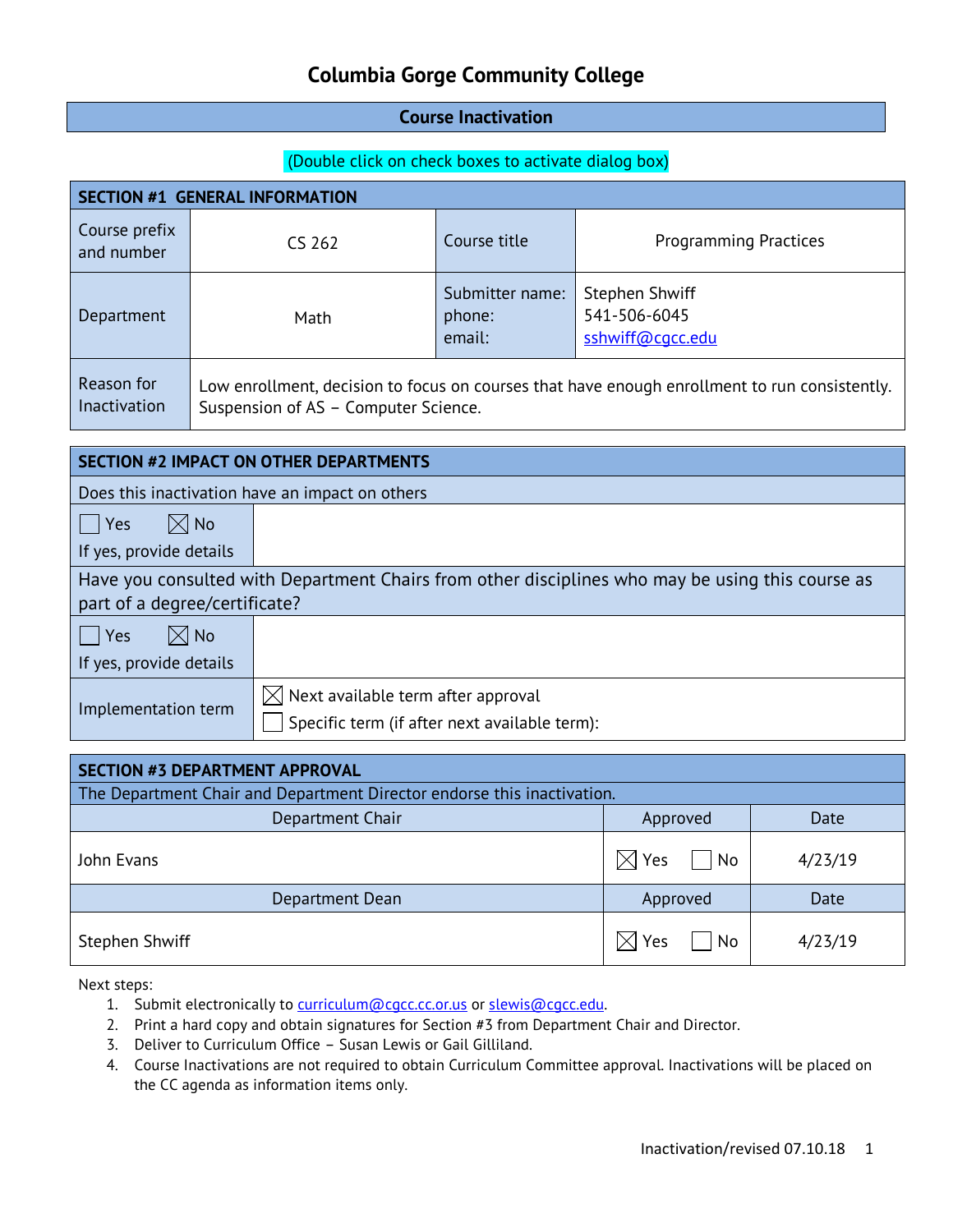#### **Course Inactivation**

#### (Double click on check boxes to activate dialog box)

| <b>SECTION #1 GENERAL INFORMATION</b> |                                      |                                     |                                                                                               |  |  |  |
|---------------------------------------|--------------------------------------|-------------------------------------|-----------------------------------------------------------------------------------------------|--|--|--|
| Course prefix<br>and number           | CS 262                               | Course title                        | <b>Programming Practices</b>                                                                  |  |  |  |
| Department                            | Math                                 | Submitter name:<br>phone:<br>email: | Stephen Shwiff<br>541-506-6045<br>sshwiff@cgcc.edu                                            |  |  |  |
| Reason for<br>Inactivation            | Suspension of AS - Computer Science. |                                     | Low enrollment, decision to focus on courses that have enough enrollment to run consistently. |  |  |  |

| <b>SECTION #2 IMPACT ON OTHER DEPARTMENTS</b>   |                                                                                                  |  |  |  |  |
|-------------------------------------------------|--------------------------------------------------------------------------------------------------|--|--|--|--|
| Does this inactivation have an impact on others |                                                                                                  |  |  |  |  |
| $\boxtimes$ No<br>Yes                           |                                                                                                  |  |  |  |  |
| If yes, provide details                         |                                                                                                  |  |  |  |  |
|                                                 | Have you consulted with Department Chairs from other disciplines who may be using this course as |  |  |  |  |
| part of a degree/certificate?                   |                                                                                                  |  |  |  |  |
| $\boxtimes$ No<br>Yes                           |                                                                                                  |  |  |  |  |
| If yes, provide details                         |                                                                                                  |  |  |  |  |
| Implementation term                             | $\boxtimes$ Next available term after approval<br>Specific term (if after next available term):  |  |  |  |  |

| SECTION #3 DEPARTMENT APPROVAL                                          |                           |         |  |  |  |
|-------------------------------------------------------------------------|---------------------------|---------|--|--|--|
| The Department Chair and Department Director endorse this inactivation. |                           |         |  |  |  |
| Department Chair                                                        | Approved                  | Date    |  |  |  |
| John Evans                                                              | $\boxtimes$ Yes<br>$ $ No | 4/23/19 |  |  |  |
| Department Dean                                                         | Approved                  | Date    |  |  |  |
| Stephen Shwiff                                                          | Yes<br>No<br>$\times$     | 4/23/19 |  |  |  |

- 1. Submit electronically to [curriculum@cgcc.cc.or.us](mailto:curriculum@cgcc.cc.or.us) or slewis@cgcc.edu.
- 2. Print a hard copy and obtain signatures for Section #3 from Department Chair and Director.
- 3. Deliver to Curriculum Office Susan Lewis or Gail Gilliland.
- 4. Course Inactivations are not required to obtain Curriculum Committee approval. Inactivations will be placed on the CC agenda as information items only.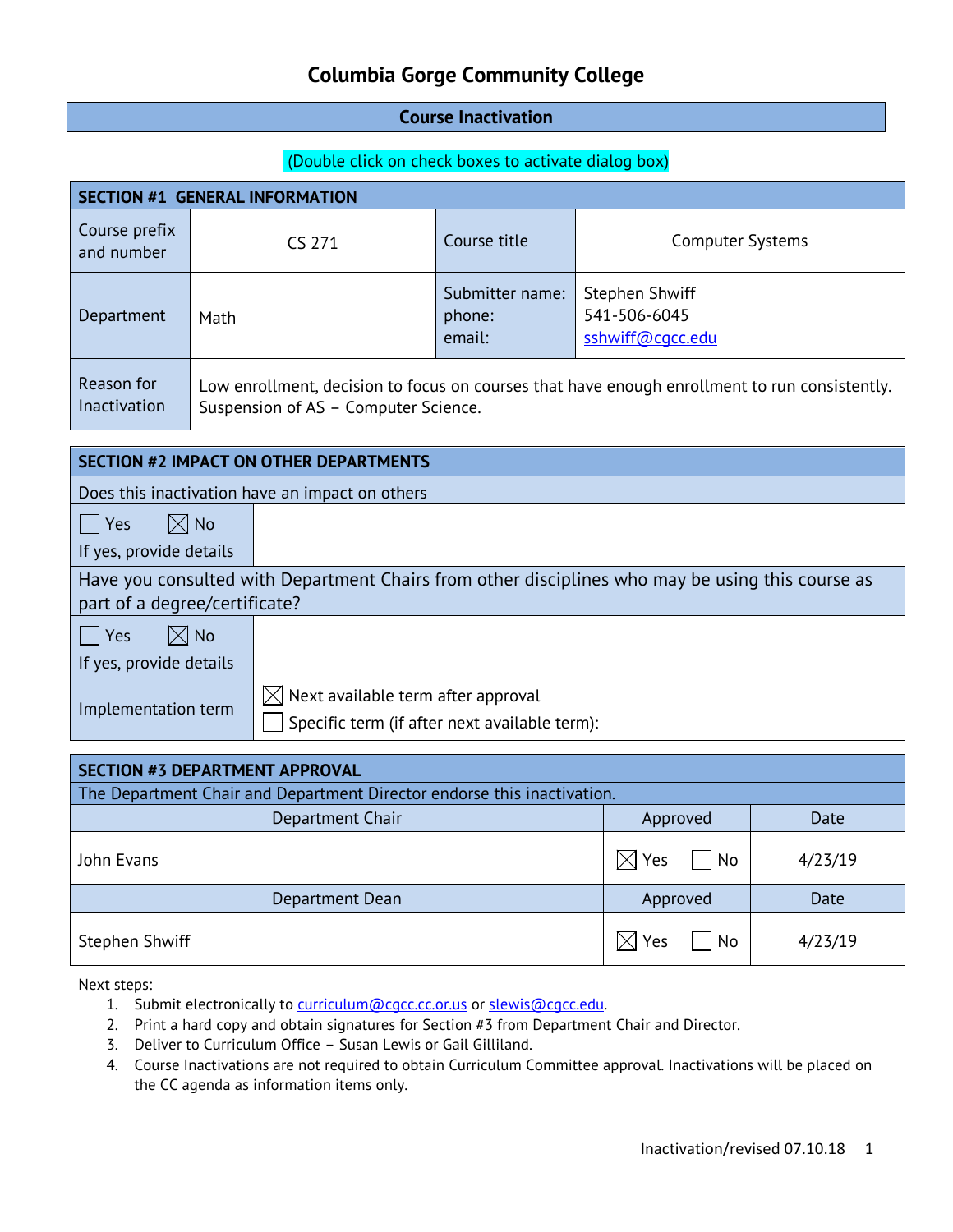#### **Course Inactivation**

#### (Double click on check boxes to activate dialog box)

| <b>SECTION #1 GENERAL INFORMATION</b> |                                      |                                     |                                                                                               |  |  |  |
|---------------------------------------|--------------------------------------|-------------------------------------|-----------------------------------------------------------------------------------------------|--|--|--|
| Course prefix<br>and number           | CS 271                               | Course title                        | <b>Computer Systems</b>                                                                       |  |  |  |
| Department                            | Math                                 | Submitter name:<br>phone:<br>email: | Stephen Shwiff<br>541-506-6045<br>sshwiff@cqcc.edu                                            |  |  |  |
| Reason for<br><b>Inactivation</b>     | Suspension of AS - Computer Science. |                                     | Low enrollment, decision to focus on courses that have enough enrollment to run consistently. |  |  |  |

| <b>SECTION #2 IMPACT ON OTHER DEPARTMENTS</b>   |                                                                                                  |  |  |  |  |
|-------------------------------------------------|--------------------------------------------------------------------------------------------------|--|--|--|--|
| Does this inactivation have an impact on others |                                                                                                  |  |  |  |  |
| $\boxtimes$ No<br>$ $ Yes                       |                                                                                                  |  |  |  |  |
| If yes, provide details                         |                                                                                                  |  |  |  |  |
|                                                 | Have you consulted with Department Chairs from other disciplines who may be using this course as |  |  |  |  |
| part of a degree/certificate?                   |                                                                                                  |  |  |  |  |
| $\boxtimes$ No<br>Yes                           |                                                                                                  |  |  |  |  |
| If yes, provide details                         |                                                                                                  |  |  |  |  |
| Implementation term                             | $\boxtimes$ Next available term after approval<br>Specific term (if after next available term):  |  |  |  |  |

| <b>SECTION #3 DEPARTMENT APPROVAL</b>                                   |                                 |         |  |  |  |
|-------------------------------------------------------------------------|---------------------------------|---------|--|--|--|
| The Department Chair and Department Director endorse this inactivation. |                                 |         |  |  |  |
| Department Chair                                                        | Approved                        | Date    |  |  |  |
| John Evans                                                              | $\boxtimes$ Yes<br>$\mathsf{N}$ | 4/23/19 |  |  |  |
| Department Dean                                                         | Approved                        | Date    |  |  |  |
| Stephen Shwiff                                                          | No<br>Yes<br>IXI                | 4/23/19 |  |  |  |

- 1. Submit electronically to [curriculum@cgcc.cc.or.us](mailto:curriculum@cgcc.cc.or.us) or slewis@cgcc.edu.
- 2. Print a hard copy and obtain signatures for Section #3 from Department Chair and Director.
- 3. Deliver to Curriculum Office Susan Lewis or Gail Gilliland.
- 4. Course Inactivations are not required to obtain Curriculum Committee approval. Inactivations will be placed on the CC agenda as information items only.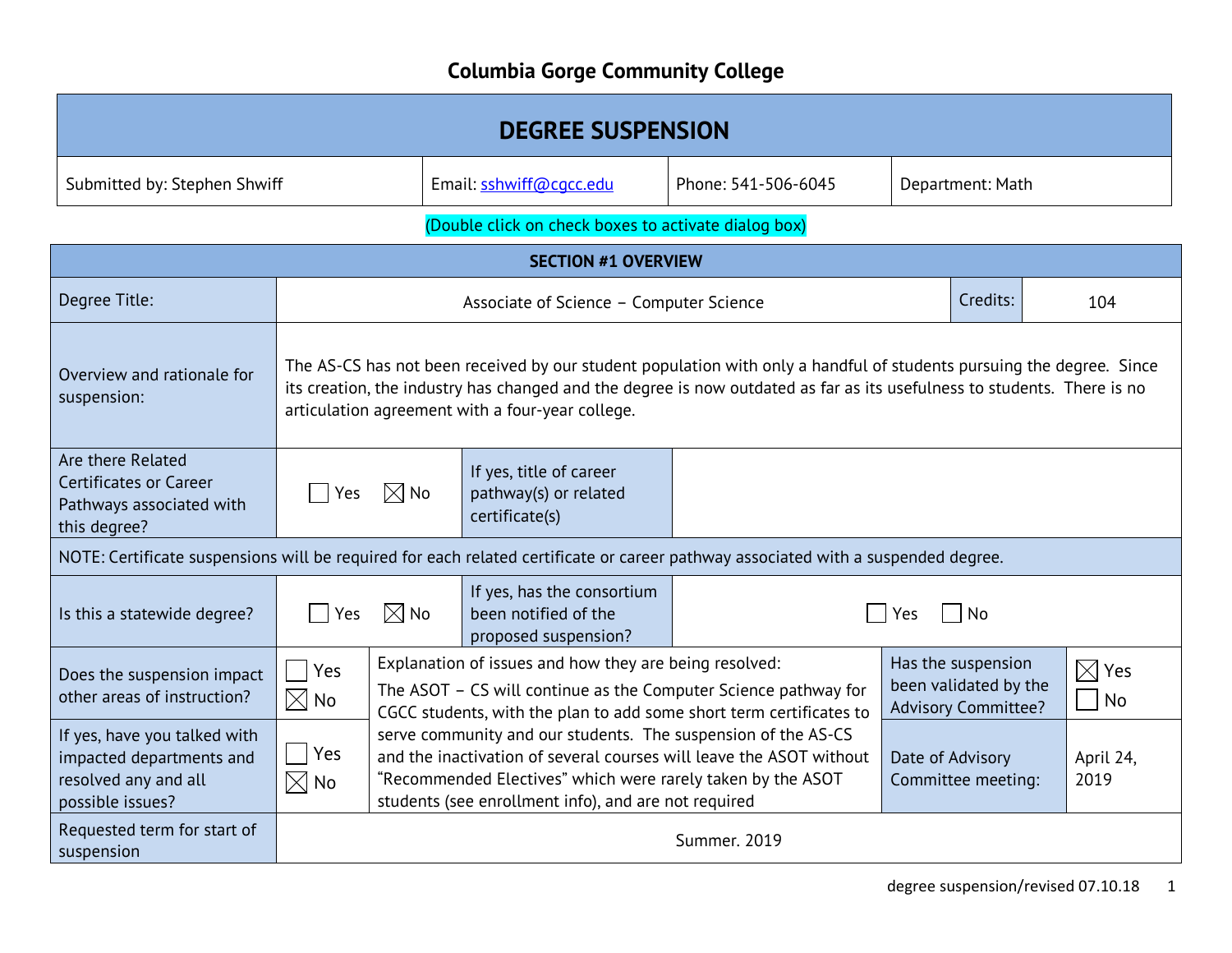| <b>DEGREE SUSPENSION</b>                                                                                                          |                                                                                                                                                                                                                                                                                                     |                                                                                                                                                                                                                                                             |                                                                           |                                        |                   |                  |     |
|-----------------------------------------------------------------------------------------------------------------------------------|-----------------------------------------------------------------------------------------------------------------------------------------------------------------------------------------------------------------------------------------------------------------------------------------------------|-------------------------------------------------------------------------------------------------------------------------------------------------------------------------------------------------------------------------------------------------------------|---------------------------------------------------------------------------|----------------------------------------|-------------------|------------------|-----|
| Submitted by: Stephen Shwiff                                                                                                      |                                                                                                                                                                                                                                                                                                     |                                                                                                                                                                                                                                                             | Email: sshwiff@cqcc.edu                                                   | Phone: 541-506-6045                    |                   | Department: Math |     |
|                                                                                                                                   | (Double click on check boxes to activate dialog box)                                                                                                                                                                                                                                                |                                                                                                                                                                                                                                                             |                                                                           |                                        |                   |                  |     |
|                                                                                                                                   |                                                                                                                                                                                                                                                                                                     |                                                                                                                                                                                                                                                             | <b>SECTION #1 OVERVIEW</b>                                                |                                        |                   |                  |     |
| Degree Title:                                                                                                                     |                                                                                                                                                                                                                                                                                                     |                                                                                                                                                                                                                                                             | Associate of Science - Computer Science                                   |                                        |                   | Credits:         | 104 |
| Overview and rationale for<br>suspension:                                                                                         | The AS-CS has not been received by our student population with only a handful of students pursuing the degree. Since<br>its creation, the industry has changed and the degree is now outdated as far as its usefulness to students. There is no<br>articulation agreement with a four-year college. |                                                                                                                                                                                                                                                             |                                                                           |                                        |                   |                  |     |
| Are there Related<br><b>Certificates or Career</b><br>Pathways associated with<br>this degree?                                    | If yes, title of career<br>$\boxtimes$ No<br>pathway(s) or related<br>Yes<br>certificate(s)                                                                                                                                                                                                         |                                                                                                                                                                                                                                                             |                                                                           |                                        |                   |                  |     |
| NOTE: Certificate suspensions will be required for each related certificate or career pathway associated with a suspended degree. |                                                                                                                                                                                                                                                                                                     |                                                                                                                                                                                                                                                             |                                                                           |                                        |                   |                  |     |
| Is this a statewide degree?                                                                                                       | If yes, has the consortium<br>$\boxtimes$ No<br>been notified of the<br>Yes<br>No<br>Yes<br>proposed suspension?                                                                                                                                                                                    |                                                                                                                                                                                                                                                             |                                                                           |                                        |                   |                  |     |
| Does the suspension impact<br>other areas of instruction?                                                                         | Explanation of issues and how they are being resolved:<br>Yes<br>The ASOT - CS will continue as the Computer Science pathway for<br>$\boxtimes$ No<br>CGCC students, with the plan to add some short term certificates to                                                                           |                                                                                                                                                                                                                                                             | Has the suspension<br>been validated by the<br><b>Advisory Committee?</b> | $\boxtimes$ Yes<br>  No                |                   |                  |     |
| If yes, have you talked with<br>impacted departments and<br>resolved any and all<br>possible issues?                              | Yes<br>$\boxtimes$ No                                                                                                                                                                                                                                                                               | serve community and our students. The suspension of the AS-CS<br>and the inactivation of several courses will leave the ASOT without<br>"Recommended Electives" which were rarely taken by the ASOT<br>students (see enrollment info), and are not required |                                                                           | Date of Advisory<br>Committee meeting: | April 24,<br>2019 |                  |     |
| Requested term for start of<br>suspension                                                                                         | Summer. 2019                                                                                                                                                                                                                                                                                        |                                                                                                                                                                                                                                                             |                                                                           |                                        |                   |                  |     |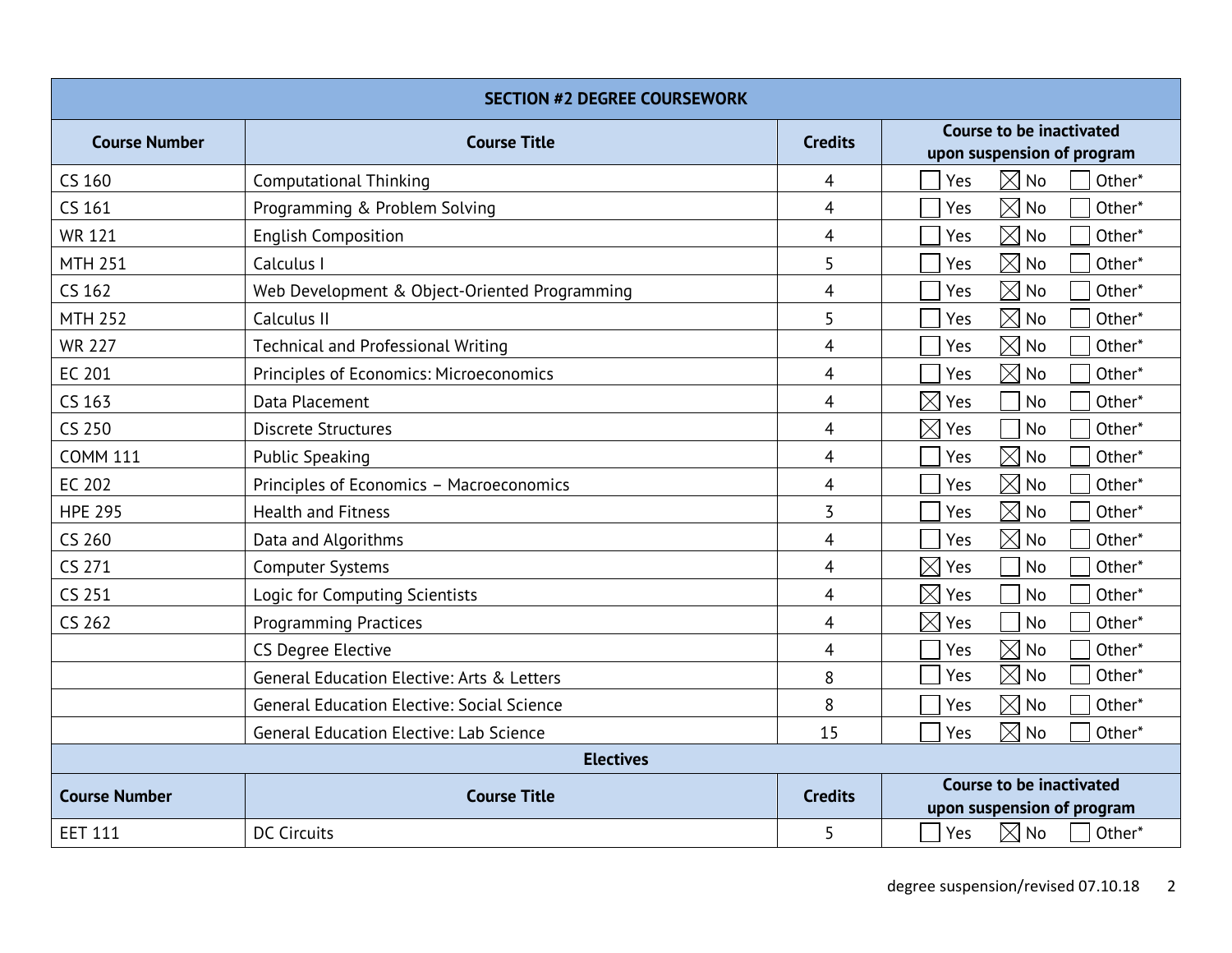| <b>SECTION #2 DEGREE COURSEWORK</b> |                                                   |                |                                                               |  |
|-------------------------------------|---------------------------------------------------|----------------|---------------------------------------------------------------|--|
| <b>Course Number</b>                | <b>Course Title</b>                               | <b>Credits</b> | <b>Course to be inactivated</b><br>upon suspension of program |  |
| CS 160                              | <b>Computational Thinking</b>                     | $\overline{4}$ | $\boxtimes$ No<br>Yes<br>Other*                               |  |
| CS 161                              | Programming & Problem Solving                     | $\overline{4}$ | $\boxtimes$ No<br>Other*<br>Yes                               |  |
| <b>WR 121</b>                       | <b>English Composition</b>                        | 4              | $\boxtimes$ No<br>Other*<br>Yes                               |  |
| <b>MTH 251</b>                      | Calculus I                                        | 5              | $\boxtimes$ No<br>Yes<br>Other*                               |  |
| CS 162                              | Web Development & Object-Oriented Programming     | $\overline{4}$ | $\boxtimes$ No<br>Yes<br>Other*                               |  |
| <b>MTH 252</b>                      | Calculus II                                       | 5              | $\boxtimes$ No<br>Other*<br>Yes                               |  |
| <b>WR 227</b>                       | <b>Technical and Professional Writing</b>         | $\overline{4}$ | $\boxtimes$ No<br>Yes<br>Other*                               |  |
| EC 201                              | Principles of Economics: Microeconomics           | $\overline{4}$ | $\boxtimes$ No<br>Other*<br>Yes                               |  |
| CS 163                              | Data Placement                                    | 4              | $\boxtimes$<br>Other*<br>Yes<br><b>No</b>                     |  |
| CS 250                              | <b>Discrete Structures</b>                        | $\overline{4}$ | $\boxtimes$<br>Yes<br>No<br>Other*                            |  |
| <b>COMM 111</b>                     | <b>Public Speaking</b>                            | $\overline{4}$ | $\boxtimes$ No<br>Other*<br>Yes                               |  |
| <b>EC 202</b>                       | Principles of Economics - Macroeconomics          | $\overline{4}$ | $\boxtimes$ No<br>Other*<br>Yes                               |  |
| <b>HPE 295</b>                      | <b>Health and Fitness</b>                         | 3              | $\boxtimes$ No<br>Yes<br>Other*                               |  |
| CS 260                              | Data and Algorithms                               | 4              | $\boxtimes$<br>No<br>Other*<br>Yes                            |  |
| CS 271                              | <b>Computer Systems</b>                           | $\overline{4}$ | Other*<br>$\times$<br>Yes<br><b>No</b>                        |  |
| CS 251                              | Logic for Computing Scientists                    | $\overline{4}$ | $\boxtimes$<br>Yes<br>Other*<br>No                            |  |
| CS 262                              | <b>Programming Practices</b>                      | $\overline{4}$ | $\boxtimes$<br>Other*<br>Yes<br>No                            |  |
|                                     | <b>CS Degree Elective</b>                         | $\overline{4}$ | $\boxtimes$ No<br>Other*<br>Yes                               |  |
|                                     | General Education Elective: Arts & Letters        | 8              | $\boxtimes$ No<br>Yes<br>Other*                               |  |
|                                     | <b>General Education Elective: Social Science</b> | 8              | $\boxtimes$ No<br>Other*<br>Yes                               |  |
|                                     | <b>General Education Elective: Lab Science</b>    | 15             | $\boxtimes$ No<br>Yes<br>Other*                               |  |
|                                     | <b>Electives</b>                                  |                |                                                               |  |
| <b>Course Number</b>                | <b>Course Title</b>                               | <b>Credits</b> | <b>Course to be inactivated</b><br>upon suspension of program |  |
| <b>EET 111</b>                      | <b>DC Circuits</b>                                | 5              | $\boxtimes$ No<br>Yes<br>Other*                               |  |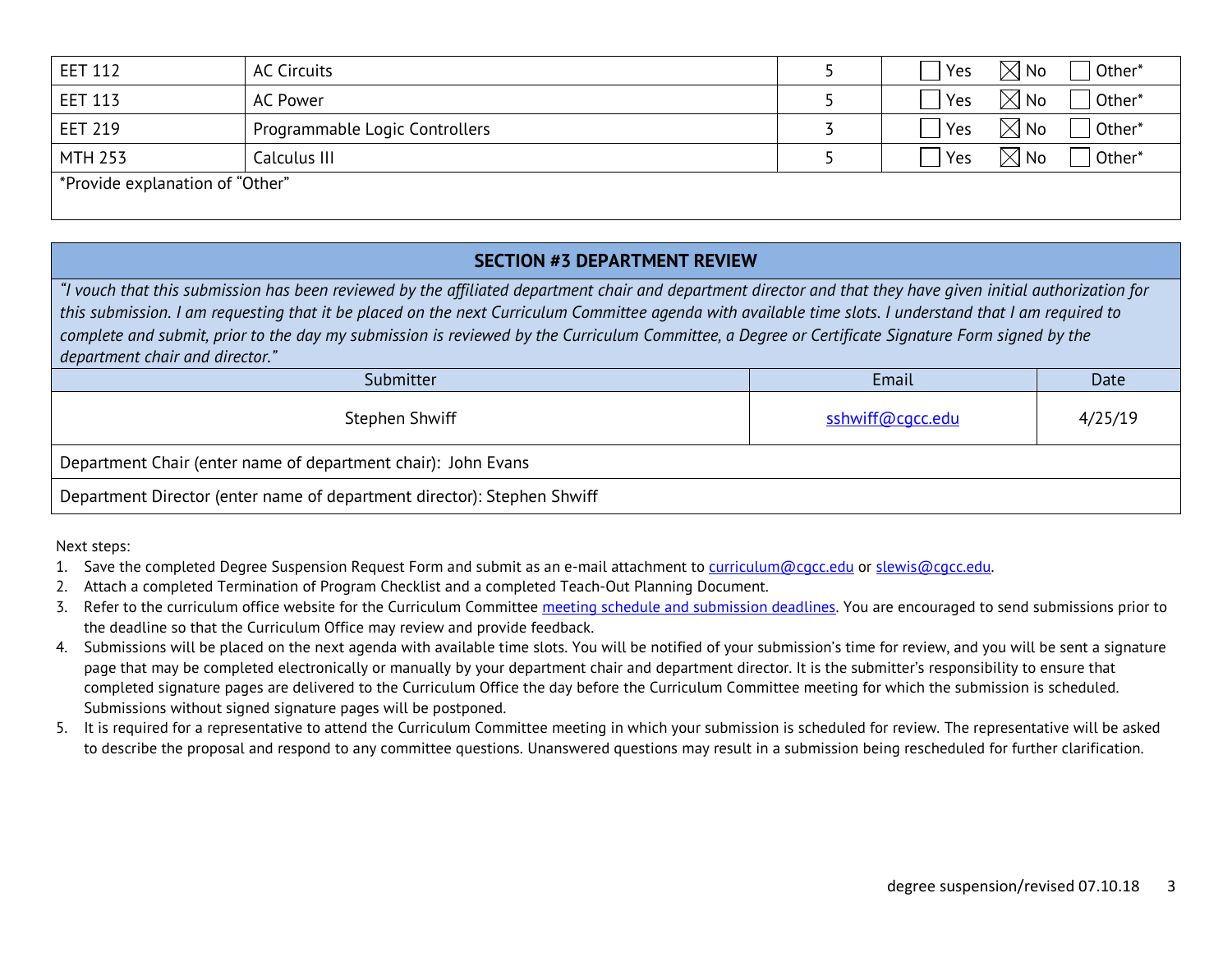| <b>EET 112</b>                  | <b>AC Circuits</b>             |  | Yes | $\boxtimes$ No | Other*              |
|---------------------------------|--------------------------------|--|-----|----------------|---------------------|
| <b>EET 113</b>                  | AC Power                       |  | Yes | $\boxtimes$ No | <sub>1</sub> Other* |
| <b>EET 219</b>                  | Programmable Logic Controllers |  | Yes | $\boxtimes$ No | Other*              |
| <b>MTH 253</b>                  | Calculus III                   |  | Yes | $\boxtimes$ No | Other*              |
| *Provide explanation of "Other" |                                |  |     |                |                     |

#### **SECTION #3 DEPARTMENT REVIEW**

*"I vouch that this submission has been reviewed by the affiliated department chair and department director and that they have given initial authorization for this submission. I am requesting that it be placed on the next Curriculum Committee agenda with available time slots. I understand that I am required to complete and submit, prior to the day my submission is reviewed by the Curriculum Committee, a Degree or Certificate Signature Form signed by the department chair and director."*

| Submitter                                                               | Email            | Date    |  |  |
|-------------------------------------------------------------------------|------------------|---------|--|--|
| Stephen Shwiff                                                          | sshwiff@cqcc.edu | 4/25/19 |  |  |
| Department Chair (enter name of department chair): John Evans           |                  |         |  |  |
| Department Director (enter name of department director): Stephen Shwiff |                  |         |  |  |

- 1. Save the completed Degree Suspension Request Form and submit as an e-mail attachment to [curriculum@cgcc.edu](mailto:curriculum@cgcc.edu) or [slewis@cgcc.edu.](mailto:slewis@cgcc.edu)
- 2. Attach a completed Termination of Program Checklist and a completed Teach-Out Planning Document.
- 3. Refer to the curriculum office website for the Curriculum Committee [meeting schedule and submission deadlines.](https://www.cgcc.edu/curriculum/committee) You are encouraged to send submissions prior to the deadline so that the Curriculum Office may review and provide feedback.
- 4. Submissions will be placed on the next agenda with available time slots. You will be notified of your submission's time for review, and you will be sent a signature page that may be completed electronically or manually by your department chair and department director. It is the submitter's responsibility to ensure that completed signature pages are delivered to the Curriculum Office the day before the Curriculum Committee meeting for which the submission is scheduled. Submissions without signed signature pages will be postponed.
- 5. It is required for a representative to attend the Curriculum Committee meeting in which your submission is scheduled for review. The representative will be asked to describe the proposal and respond to any committee questions. Unanswered questions may result in a submission being rescheduled for further clarification.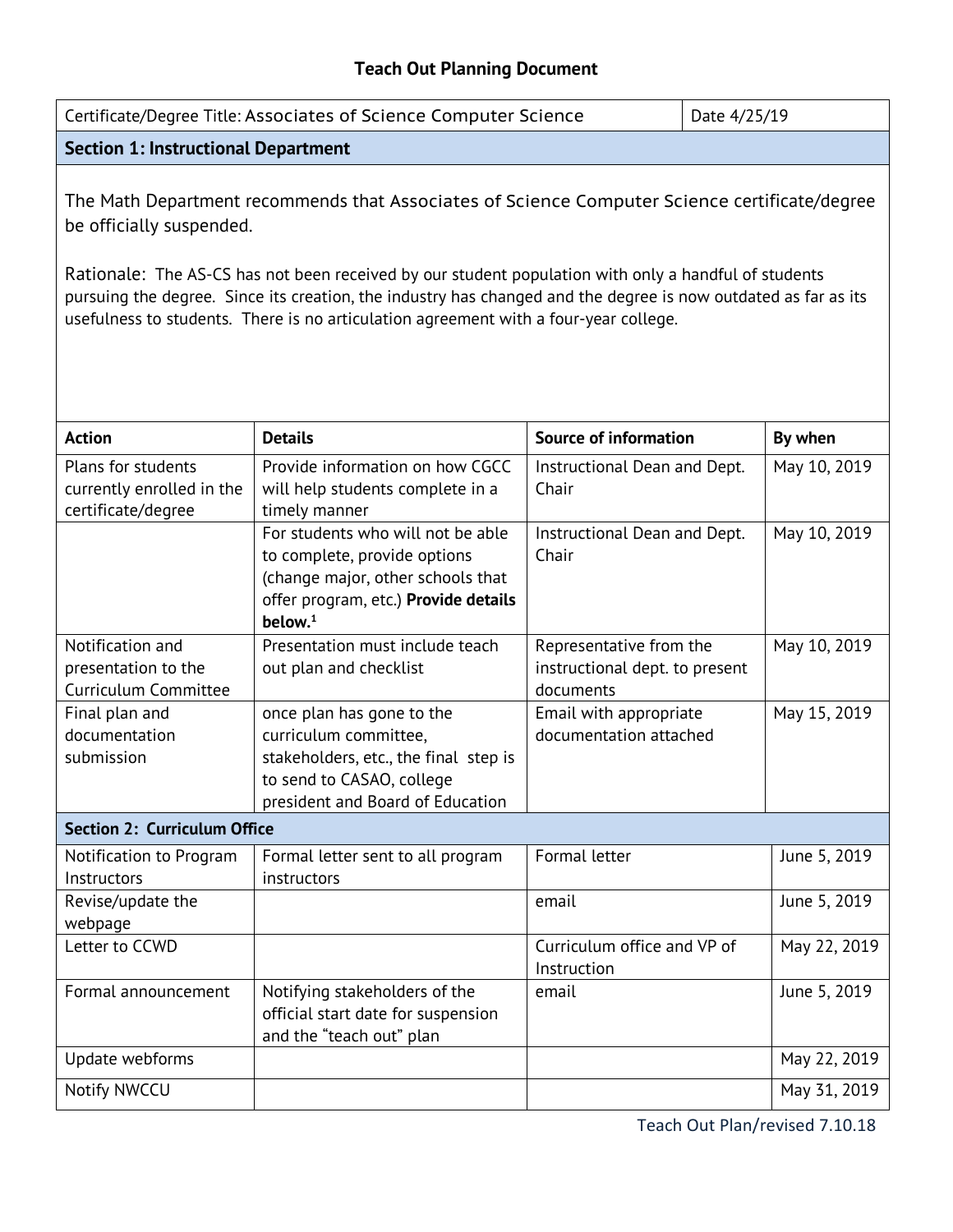### **Teach Out Planning Document**

| Certificate/Degree Title: Associates of Science Computer Science<br>Date 4/25/19                                                                                                                                                                                                                                                                                                                                                            |                                                                                                                                                              |                                                                        |  |              |  |
|---------------------------------------------------------------------------------------------------------------------------------------------------------------------------------------------------------------------------------------------------------------------------------------------------------------------------------------------------------------------------------------------------------------------------------------------|--------------------------------------------------------------------------------------------------------------------------------------------------------------|------------------------------------------------------------------------|--|--------------|--|
| <b>Section 1: Instructional Department</b>                                                                                                                                                                                                                                                                                                                                                                                                  |                                                                                                                                                              |                                                                        |  |              |  |
| The Math Department recommends that Associates of Science Computer Science certificate/degree<br>be officially suspended.<br>Rationale: The AS-CS has not been received by our student population with only a handful of students<br>pursuing the degree. Since its creation, the industry has changed and the degree is now outdated as far as its<br>usefulness to students. There is no articulation agreement with a four-year college. |                                                                                                                                                              |                                                                        |  |              |  |
| <b>Action</b>                                                                                                                                                                                                                                                                                                                                                                                                                               | <b>Details</b>                                                                                                                                               | <b>Source of information</b>                                           |  | By when      |  |
| Plans for students<br>currently enrolled in the<br>certificate/degree                                                                                                                                                                                                                                                                                                                                                                       | Provide information on how CGCC<br>will help students complete in a<br>timely manner                                                                         | Instructional Dean and Dept.<br>Chair                                  |  | May 10, 2019 |  |
|                                                                                                                                                                                                                                                                                                                                                                                                                                             | For students who will not be able<br>to complete, provide options<br>(change major, other schools that<br>offer program, etc.) Provide details<br>below. $1$ | Instructional Dean and Dept.<br>Chair                                  |  | May 10, 2019 |  |
| Notification and<br>presentation to the<br><b>Curriculum Committee</b>                                                                                                                                                                                                                                                                                                                                                                      | Presentation must include teach<br>out plan and checklist                                                                                                    | Representative from the<br>instructional dept. to present<br>documents |  | May 10, 2019 |  |
| Final plan and<br>documentation<br>submission                                                                                                                                                                                                                                                                                                                                                                                               | once plan has gone to the<br>curriculum committee,<br>stakeholders, etc., the final step is<br>to send to CASAO, college<br>president and Board of Education | Email with appropriate<br>documentation attached                       |  | May 15, 2019 |  |
| <b>Section 2: Curriculum Office</b>                                                                                                                                                                                                                                                                                                                                                                                                         |                                                                                                                                                              |                                                                        |  |              |  |
| Notification to Program<br>Instructors                                                                                                                                                                                                                                                                                                                                                                                                      | Formal letter sent to all program<br>instructors                                                                                                             | Formal letter                                                          |  | June 5, 2019 |  |
| Revise/update the<br>webpage                                                                                                                                                                                                                                                                                                                                                                                                                |                                                                                                                                                              | email                                                                  |  | June 5, 2019 |  |
| Letter to CCWD                                                                                                                                                                                                                                                                                                                                                                                                                              |                                                                                                                                                              | Curriculum office and VP of<br>Instruction                             |  | May 22, 2019 |  |
| Formal announcement                                                                                                                                                                                                                                                                                                                                                                                                                         | Notifying stakeholders of the<br>official start date for suspension<br>and the "teach out" plan                                                              | email                                                                  |  | June 5, 2019 |  |
| Update webforms                                                                                                                                                                                                                                                                                                                                                                                                                             |                                                                                                                                                              |                                                                        |  | May 22, 2019 |  |
| Notify NWCCU                                                                                                                                                                                                                                                                                                                                                                                                                                |                                                                                                                                                              |                                                                        |  | May 31, 2019 |  |

Teach Out Plan/revised 7.10.18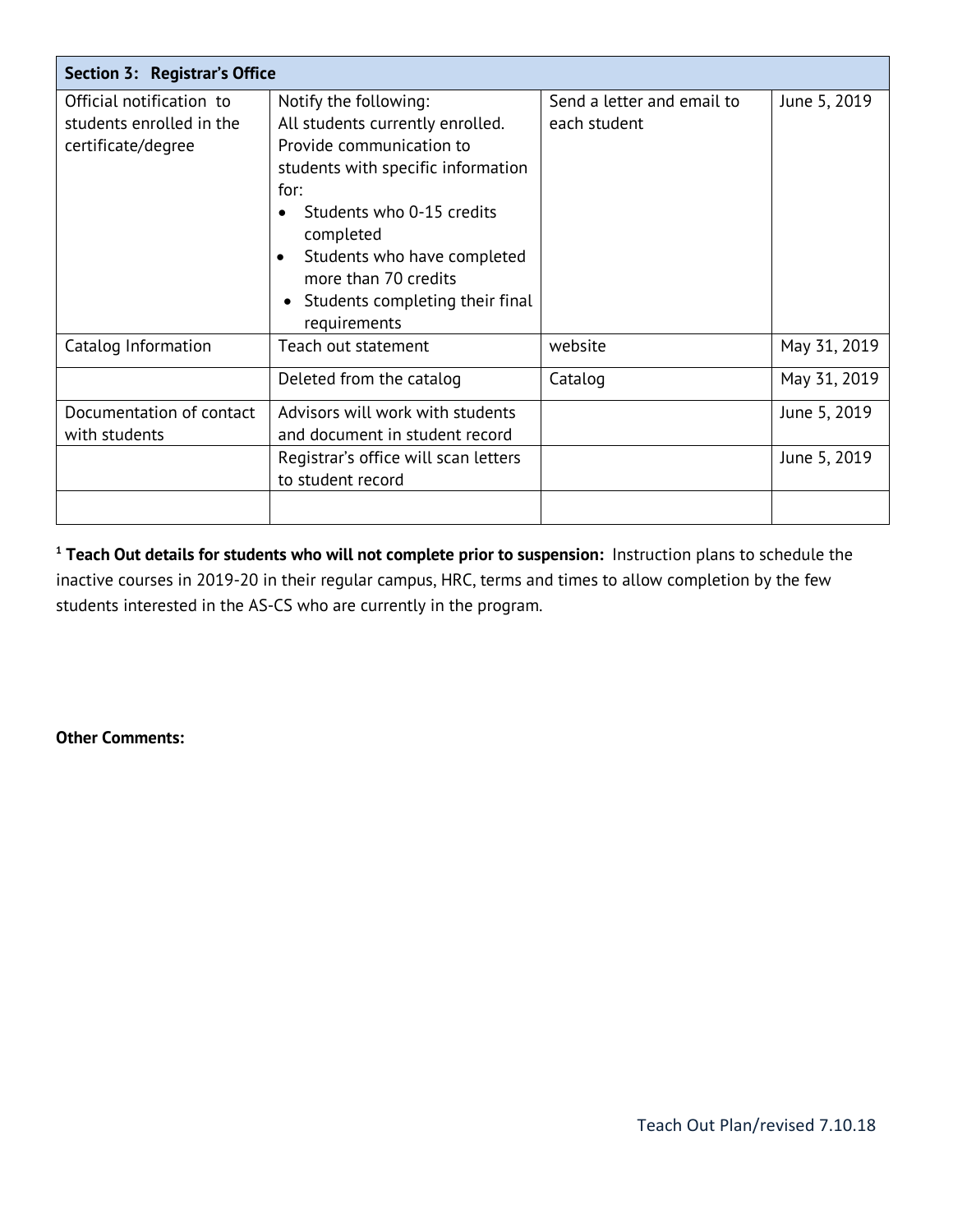| Section 3: Registrar's Office                                              |                                                                                                                                                                                                                                                                                                      |                                            |              |
|----------------------------------------------------------------------------|------------------------------------------------------------------------------------------------------------------------------------------------------------------------------------------------------------------------------------------------------------------------------------------------------|--------------------------------------------|--------------|
| Official notification to<br>students enrolled in the<br>certificate/degree | Notify the following:<br>All students currently enrolled.<br>Provide communication to<br>students with specific information<br>for:<br>Students who 0-15 credits<br>completed<br>Students who have completed<br>$\bullet$<br>more than 70 credits<br>Students completing their final<br>requirements | Send a letter and email to<br>each student | June 5, 2019 |
| Catalog Information                                                        | Teach out statement                                                                                                                                                                                                                                                                                  | website                                    | May 31, 2019 |
|                                                                            | Deleted from the catalog                                                                                                                                                                                                                                                                             | Catalog                                    | May 31, 2019 |
| Documentation of contact<br>with students                                  | Advisors will work with students<br>and document in student record                                                                                                                                                                                                                                   |                                            | June 5, 2019 |
|                                                                            | Registrar's office will scan letters<br>to student record                                                                                                                                                                                                                                            |                                            | June 5, 2019 |
|                                                                            |                                                                                                                                                                                                                                                                                                      |                                            |              |

**<sup>1</sup> Teach Out details for students who will not complete prior to suspension:** Instruction plans to schedule the inactive courses in 2019-20 in their regular campus, HRC, terms and times to allow completion by the few students interested in the AS-CS who are currently in the program.

**Other Comments:**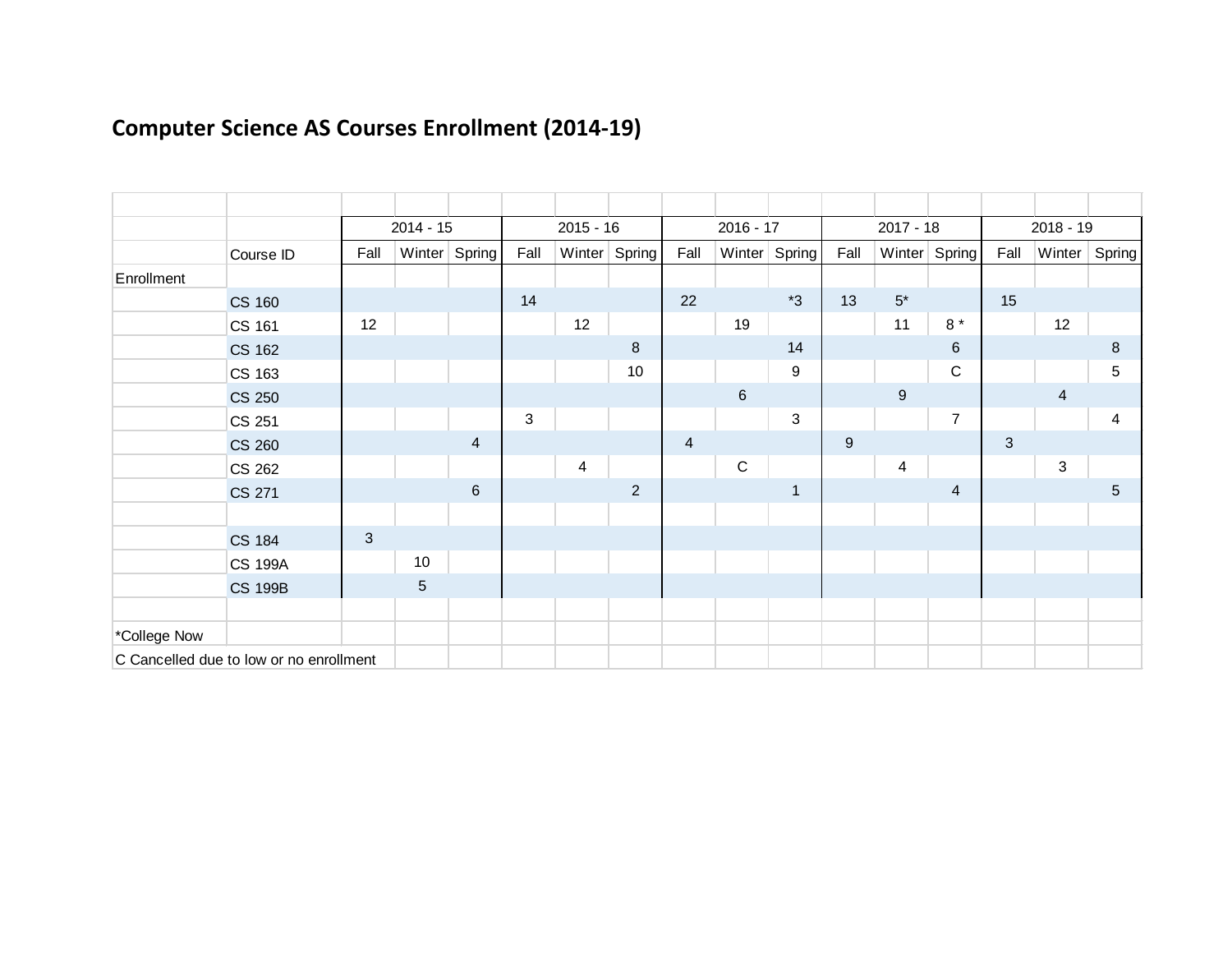|              |                                         |              | $2014 - 15$ |                |              | $2015 - 16$ |                  |                | $2016 - 17$    |                  |       | $2017 - 18$             |                |              | $2018 - 19$ |                 |
|--------------|-----------------------------------------|--------------|-------------|----------------|--------------|-------------|------------------|----------------|----------------|------------------|-------|-------------------------|----------------|--------------|-------------|-----------------|
|              | Course ID                               | Fall         |             | Winter Spring  | Fall         | Winter      | Spring           | Fall           |                | Winter Spring    | Fall  |                         | Winter Spring  | Fall         |             | Winter   Spring |
| Enrollment   |                                         |              |             |                |              |             |                  |                |                |                  |       |                         |                |              |             |                 |
|              | <b>CS 160</b>                           |              |             |                | 14           |             |                  | 22             |                | $*3$             | 13    | $5^\star$               |                | 15           |             |                 |
|              | CS 161                                  | 12           |             |                |              | 12          |                  |                | 19             |                  |       | 11                      | 8 $^\star$     |              | 12          |                 |
|              | <b>CS 162</b>                           |              |             |                |              |             | $\boldsymbol{8}$ |                |                | 14               |       |                         | 6              |              |             | 8               |
|              | CS 163                                  |              |             |                |              |             | 10               |                |                | $\boldsymbol{9}$ |       |                         | $\mathbf C$    |              |             | 5               |
|              | <b>CS 250</b>                           |              |             |                |              |             |                  |                | $6\phantom{1}$ |                  |       | $\boldsymbol{9}$        |                |              | 4           |                 |
|              | CS 251                                  |              |             |                | $\mathbf{3}$ |             |                  |                |                | $\mathfrak{S}$   |       |                         | $\overline{7}$ |              |             | $\overline{4}$  |
|              | <b>CS 260</b>                           |              |             | $\overline{4}$ |              |             |                  | $\overline{4}$ |                |                  | $9\,$ |                         |                | $\mathbf{3}$ |             |                 |
|              | CS 262                                  |              |             |                |              | 4           |                  |                | ${\bf C}$      |                  |       | $\overline{\mathbf{4}}$ |                |              | 3           |                 |
|              | <b>CS 271</b>                           |              |             | $\,6$          |              |             | $\overline{2}$   |                |                | $\mathbf 1$      |       |                         | $\overline{4}$ |              |             | 5               |
|              |                                         |              |             |                |              |             |                  |                |                |                  |       |                         |                |              |             |                 |
|              | <b>CS 184</b>                           | $\mathbf{3}$ |             |                |              |             |                  |                |                |                  |       |                         |                |              |             |                 |
|              | <b>CS 199A</b>                          |              | $10$        |                |              |             |                  |                |                |                  |       |                         |                |              |             |                 |
|              | <b>CS 199B</b>                          |              | $\sqrt{5}$  |                |              |             |                  |                |                |                  |       |                         |                |              |             |                 |
|              |                                         |              |             |                |              |             |                  |                |                |                  |       |                         |                |              |             |                 |
| *College Now |                                         |              |             |                |              |             |                  |                |                |                  |       |                         |                |              |             |                 |
|              | C Cancelled due to low or no enrollment |              |             |                |              |             |                  |                |                |                  |       |                         |                |              |             |                 |

# **Computer Science AS Courses Enrollment (2014-19)**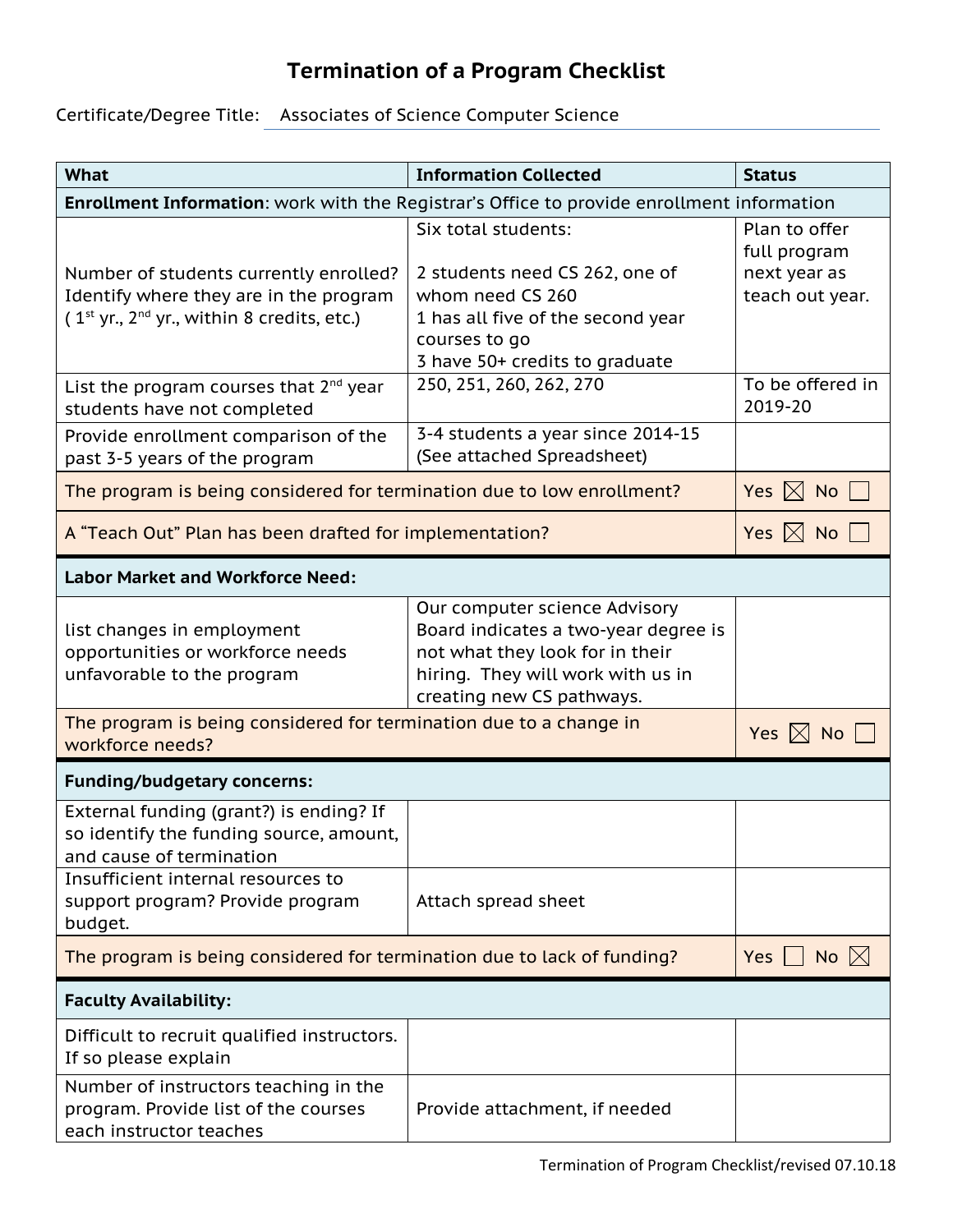## **Termination of a Program Checklist**

### Certificate/Degree Title: Associates of Science Computer Science

| <b>What</b>                                                                                | <b>Information Collected</b>                                         | <b>Status</b>                 |  |  |
|--------------------------------------------------------------------------------------------|----------------------------------------------------------------------|-------------------------------|--|--|
| Enrollment Information: work with the Registrar's Office to provide enrollment information |                                                                      |                               |  |  |
|                                                                                            | Six total students:                                                  | Plan to offer<br>full program |  |  |
| Number of students currently enrolled?                                                     | 2 students need CS 262, one of                                       | next year as                  |  |  |
| Identify where they are in the program                                                     | whom need CS 260                                                     | teach out year.               |  |  |
| (1 <sup>st</sup> yr., 2 <sup>nd</sup> yr., within 8 credits, etc.)                         | 1 has all five of the second year                                    |                               |  |  |
|                                                                                            | courses to go<br>3 have 50+ credits to graduate                      |                               |  |  |
| List the program courses that $2^{nd}$ year                                                | 250, 251, 260, 262, 270                                              | To be offered in              |  |  |
| students have not completed                                                                |                                                                      | 2019-20                       |  |  |
| Provide enrollment comparison of the                                                       | 3-4 students a year since 2014-15                                    |                               |  |  |
| past 3-5 years of the program                                                              | (See attached Spreadsheet)                                           |                               |  |  |
| The program is being considered for termination due to low enrollment?                     | Yes $\boxtimes$ No                                                   |                               |  |  |
| A "Teach Out" Plan has been drafted for implementation?                                    | Yes $ \times $ No                                                    |                               |  |  |
| <b>Labor Market and Workforce Need:</b>                                                    |                                                                      |                               |  |  |
|                                                                                            | Our computer science Advisory                                        |                               |  |  |
| list changes in employment                                                                 | Board indicates a two-year degree is                                 |                               |  |  |
| opportunities or workforce needs<br>unfavorable to the program                             | not what they look for in their<br>hiring. They will work with us in |                               |  |  |
|                                                                                            | creating new CS pathways.                                            |                               |  |  |
| The program is being considered for termination due to a change in                         |                                                                      | Yes $\boxtimes$ No            |  |  |
| workforce needs?                                                                           |                                                                      |                               |  |  |
| <b>Funding/budgetary concerns:</b>                                                         |                                                                      |                               |  |  |
| External funding (grant?) is ending? If                                                    |                                                                      |                               |  |  |
| so identify the funding source, amount,<br>and cause of termination                        |                                                                      |                               |  |  |
| Insufficient internal resources to                                                         |                                                                      |                               |  |  |
| support program? Provide program                                                           | Attach spread sheet                                                  |                               |  |  |
| budget.                                                                                    |                                                                      |                               |  |  |
| The program is being considered for termination due to lack of funding?                    | Yes  <br>No $ \times $                                               |                               |  |  |
| <b>Faculty Availability:</b>                                                               |                                                                      |                               |  |  |
| Difficult to recruit qualified instructors.<br>If so please explain                        |                                                                      |                               |  |  |
| Number of instructors teaching in the                                                      |                                                                      |                               |  |  |
| program. Provide list of the courses<br>each instructor teaches                            | Provide attachment, if needed                                        |                               |  |  |